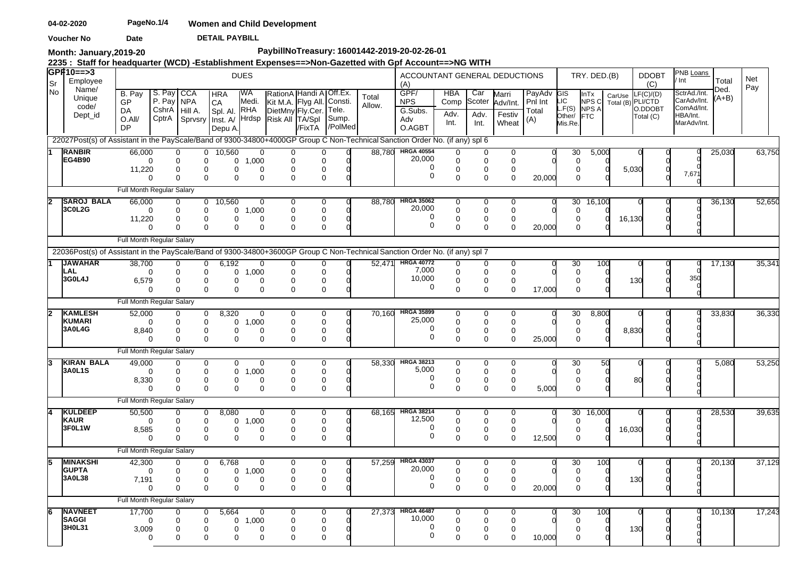**DETAIL PAYBILL Voucher No Date** 

**Month: January,2019-20**

# **PaybillNoTreasury: 16001442-2019-20-02-26-01**

**2235 : Staff for headquarter (WCD) -Establishment Expenses==>Non-Gazetted with Gpf Account==>NG WITH** 

| lSr            | <b>GPF10==&gt;3</b><br>Employee                                                                                             |                           |                      |                                                             |                                  | <b>DUES</b>               |                                                      |                              |                  |                 | ACCOUNTANT GENERAL DEDUCTIONS<br>(A) |                                     |                       |                              |                            |                         | TRY. DED.(B)           |                             | <b>DDOBT</b><br>(C)  | PNB Loans<br>Int                          | Total           | Net<br>Pay |        |
|----------------|-----------------------------------------------------------------------------------------------------------------------------|---------------------------|----------------------|-------------------------------------------------------------|----------------------------------|---------------------------|------------------------------------------------------|------------------------------|------------------|-----------------|--------------------------------------|-------------------------------------|-----------------------|------------------------------|----------------------------|-------------------------|------------------------|-----------------------------|----------------------|-------------------------------------------|-----------------|------------|--------|
| l No           | Name/<br>Unique<br>code/                                                                                                    | B. Pay<br><b>GP</b><br>DA | S. Pay<br>P. Pay NPA | <b>CCA</b><br>CshrA Hill A.                                 | <b>HRA</b><br>CA<br>Spl. Al. RHA | IWA<br>Medi.              | Kit M.A. Flyg All. Consti.<br>DietMny Fly.Cer. Tele. | RationA Handi A   Off.Ex.    |                  | Total<br>Allow. | GPF/<br><b>NPS</b><br>G.Subs.        | <b>HBA</b><br>Comp                  | Car<br>Scoter         | Marri<br>Adv/Int.            | PayAdv<br>Pnl Int<br>Total | CIS<br>LIC<br>$-F(S)$   | InTx<br>NPS C<br>NPS A | CarUse<br>Total (B) PLI/CTD | LF(C)/(D)<br>O.DDOBT | SctrAd./Int.<br>CarAdv/Int.<br>ComAd/Int. | Ded.<br>$(A+B)$ |            |        |
|                | Dept_id                                                                                                                     | $O.$ All/<br>DP           |                      | CptrA Sprvsry Inst. A/ Hrdsp                                | Depu A.                          |                           | Risk All TA/Spl                                      | /FixTA                       | Sump.<br>/PolMed |                 | Adv<br>O.AGBT                        | Adv.<br>Int.                        | Adv.<br>Int.          | Festiv<br>Wheat              | (A)                        | Other/<br>Mis.Re.       | <b>FTC</b>             |                             | Total (C)            | HBA/Int.<br>MarAdv/Int.                   |                 |            |        |
|                | 22027Post(s) of Assistant in the PayScale/Band of 9300-34800+4000GP Group C Non-Technical Sanction Order No. (if any) spl 6 |                           |                      |                                                             |                                  |                           |                                                      |                              |                  |                 |                                      |                                     |                       |                              |                            |                         |                        |                             |                      |                                           |                 |            |        |
|                | <b>RANBIR</b><br>EG4B90                                                                                                     | 66.000<br>11,220          | $\Omega$             | $\overline{0}$<br>0<br>0<br>$\mathbf 0$<br>$\mathbf 0$<br>0 | 10,560<br>0<br>0                 | 0<br>1,000<br>$\mathbf 0$ | 0<br>0                                               | 0<br>$\Omega$<br>$\mathbf 0$ |                  |                 | 88,780 HRGA 40554<br>20,000<br>0     | $\Omega$<br>$\Omega$<br>$\mathbf 0$ | 0<br>$\mathbf 0$<br>0 | $\mathbf 0$<br>$\Omega$<br>0 |                            | 30<br>$\Omega$<br>0     | 5,000                  | 5,030                       |                      |                                           | 25,030          | 63,750     |        |
|                |                                                                                                                             |                           | $\Omega$             | $\Omega$<br>$\Omega$                                        | $\Omega$                         | $\mathbf 0$               | $\Omega$                                             | $\mathbf{0}$                 |                  |                 | $\mathbf 0$                          | $\Omega$                            | $\mathbf 0$           | $\mathbf 0$                  | 20,000                     | $\Omega$                |                        |                             |                      | 7,671                                     |                 |            |        |
|                |                                                                                                                             | Full Month Regular Salary |                      |                                                             |                                  |                           |                                                      |                              |                  |                 |                                      |                                     |                       |                              |                            |                         |                        |                             |                      |                                           |                 |            |        |
| $\overline{2}$ | <b>SAROJ BALA</b>                                                                                                           | 66,000                    |                      | $\mathbf{0}$<br>0                                           | 10,560                           | $\mathbf 0$               | 0                                                    | 0                            |                  | 88.780          | <b>HRGA 35062</b><br>20,000          | 0                                   | 0                     | 0                            |                            | 30                      | 16,100                 |                             |                      |                                           | 36,130          | 52,650     |        |
|                | 3C0L2G                                                                                                                      | 11,220                    | $\Omega$             | 0<br>0<br>$\mathbf 0$<br>$\Omega$                           | 0<br>0                           | 1,000<br>$\Omega$         | 0                                                    | $\mathbf 0$<br>0             |                  |                 | 0                                    | $\mathbf 0$<br>0                    | 0<br>$\mathbf 0$      | $\Omega$<br>0                |                            | $\Omega$<br>$\Omega$    |                        | 16,130                      |                      |                                           |                 |            |        |
|                |                                                                                                                             |                           | $\Omega$             | $\Omega$<br>0                                               | $\Omega$                         | $\Omega$                  | 0                                                    | $\Omega$                     |                  |                 | $\mathbf 0$                          | $\Omega$                            | $\Omega$              | $\Omega$                     | 20,000                     | $\Omega$                |                        |                             |                      |                                           |                 |            |        |
|                |                                                                                                                             | Full Month Regular Salary |                      |                                                             |                                  |                           |                                                      |                              |                  |                 |                                      |                                     |                       |                              |                            |                         |                        |                             |                      |                                           |                 |            |        |
|                | 22036Post(s) of Assistant in the PayScale/Band of 9300-34800+3600GP Group C Non-Technical Sanction Order No. (if any) spl 7 |                           |                      |                                                             |                                  |                           |                                                      |                              |                  |                 |                                      |                                     |                       |                              |                            |                         |                        |                             |                      |                                           |                 |            |        |
|                | <b>JAWAHAR</b><br>LAL                                                                                                       | 38.700                    | $\Omega$             | $\mathbf 0$<br>0<br>0<br>0                                  | 6.192<br>0                       | 0<br>1,000                | 0<br>$\Omega$                                        | 0<br>$\mathbf{0}$            |                  | 52.47'          | <b>HRGA 40772</b><br>7,000           | $\Omega$<br>0                       | 0<br>$\mathbf 0$      | $\mathbf 0$<br>$\mathbf 0$   |                            | 30<br>$\mathbf 0$       | 100                    |                             |                      |                                           | 17,130          |            | 35,341 |
|                | 3G0L4J                                                                                                                      | 6,579                     |                      | $\mathbf 0$<br>0                                            | 0                                | $\Omega$                  | 0                                                    | $\mathbf 0$                  |                  |                 | 10,000                               | $\mathbf 0$                         | $\mathbf 0$           | $\mathbf 0$                  |                            | 0                       |                        |                             | 130                  | 350                                       |                 |            |        |
|                |                                                                                                                             |                           | $\Omega$             | $\mathbf 0$<br>$\Omega$                                     | $\Omega$                         | $\mathbf 0$               | $\Omega$                                             | $\mathbf 0$                  |                  |                 | 0                                    | $\mathbf 0$                         | $\mathbf 0$           | $\mathbf 0$                  | 17,000                     | $\Omega$                |                        |                             |                      |                                           |                 |            |        |
|                |                                                                                                                             | Full Month Regular Salary |                      |                                                             |                                  |                           |                                                      |                              |                  |                 |                                      |                                     |                       |                              |                            |                         |                        |                             |                      |                                           |                 |            |        |
|                | <b>KAMLESH</b><br>KUMARI                                                                                                    | 52,000                    | $\Omega$             | 0<br>0<br>0<br>0                                            | 8,320<br>0                       | 0<br>1,000                | 0<br><sup>0</sup>                                    | $\mathbf 0$<br>$\mathbf 0$   |                  |                 | 70,160 HRGA 35899<br>25,000          | 0<br>0                              | 0<br>0                | 0<br>$\mathbf 0$             |                            | 30<br>0                 | 8,800                  |                             |                      |                                           | 33,830          | 36,330     |        |
|                | 3A0L4G                                                                                                                      | 8,840                     |                      | 0<br>0                                                      | 0                                | $\mathbf 0$               | 0                                                    | 0                            |                  |                 | 0<br>0                               | 0                                   | 0                     | $\mathbf 0$                  |                            | 0                       |                        | 8,830                       |                      |                                           |                 |            |        |
|                |                                                                                                                             | Full Month Regular Salary | $\Omega$             | $\Omega$<br>$\Omega$                                        | 0                                | $\mathbf 0$               | $\Omega$                                             | $\mathbf 0$                  |                  |                 |                                      | $\mathbf 0$                         | $\Omega$              | $\Omega$                     | 25,000                     | $\Omega$                |                        |                             |                      |                                           |                 |            |        |
| l3             | <b>KIRAN BALA</b>                                                                                                           | 49,000                    |                      | $\Omega$<br>0                                               | 0                                | $\Omega$                  | 0                                                    | 0                            |                  |                 | 58,330 HRGA 38213                    | $\Omega$                            | 0                     | $\Omega$                     |                            | 30                      |                        | 50                          |                      |                                           | 5,080           | 53,250     |        |
|                | 3A0L1S                                                                                                                      |                           | $\Omega$             | 0<br>$\Omega$                                               | 0                                | 1,000                     | $\Omega$                                             | $\mathbf{0}$                 |                  |                 | 5,000                                | $\mathbf 0$                         | $\mathbf 0$           | $\Omega$                     |                            | $\Omega$                |                        |                             |                      |                                           |                 |            |        |
|                |                                                                                                                             | 8,330                     | $\Omega$             | 0<br>$\Omega$<br>$\Omega$<br>$\mathbf 0$                    | 0<br>$\Omega$                    | $\Omega$<br>$\Omega$      | $\Omega$<br>$\Omega$                                 | 0<br>$\mathbf 0$             |                  |                 | 0<br>$\Omega$                        | 0<br>0                              | 0<br>0                | 0<br>$\Omega$                | 5,000                      | 0<br>$\Omega$           |                        |                             | 80                   |                                           |                 |            |        |
|                |                                                                                                                             | Full Month Regular Salary |                      |                                                             |                                  |                           |                                                      |                              |                  |                 |                                      |                                     |                       |                              |                            |                         |                        |                             |                      |                                           |                 |            |        |
|                | <b>KULDEEP</b>                                                                                                              | 50.500                    |                      | $\mathbf 0$<br>$\Omega$                                     | 8,080                            | $\mathbf 0$               | 0                                                    | $\mathbf 0$                  |                  | 68.165          | <b>HRGA 38214</b>                    | $\mathbf 0$                         | 0                     | 0                            |                            | 30                      | 16,000                 |                             |                      |                                           | 28,530          |            | 39,635 |
|                | <b>KAUR</b>                                                                                                                 |                           | $\Omega$             | 0<br>$\mathbf 0$                                            | 0                                | 1,000                     | ∩                                                    | $\mathbf 0$                  |                  |                 | 12,500<br>0                          | $\Omega$                            | $\Omega$              | $\Omega$                     |                            | $\Omega$                |                        |                             |                      |                                           |                 |            |        |
|                | 3F0L1W                                                                                                                      | 8,585                     | $\Omega$             | $\mathbf 0$<br>0<br>$\Omega$<br>$\mathbf 0$                 | 0<br>$\Omega$                    | $\Omega$<br>$\mathbf 0$   | 0<br>$\Omega$                                        | 0<br>$\mathbf 0$             |                  |                 | $\mathbf 0$                          | $\mathbf 0$<br>$\mathbf 0$          | $\mathbf 0$<br>0      | 0<br>$\mathbf 0$             | 12,500                     | 0<br>$\Omega$           |                        | 16,030                      |                      |                                           |                 |            |        |
|                |                                                                                                                             | Full Month Regular Salary |                      |                                                             |                                  |                           |                                                      |                              |                  |                 |                                      |                                     |                       |                              |                            |                         |                        |                             |                      |                                           |                 |            |        |
|                | <b>MINAKSHI</b>                                                                                                             | 42,300                    |                      | $\mathbf 0$<br>0                                            | 6,768                            | 0                         | 0                                                    | $\mathbf 0$                  |                  |                 | 57,259 HRGA 43037                    | 0                                   | 0                     | 0                            |                            | 30                      | 100                    |                             |                      |                                           | 20,130          | 37,129     |        |
|                | <b>GUPTA</b><br>3A0L38                                                                                                      |                           | $\Omega$             | 0<br>0                                                      | 0                                | 1,000<br>$\Omega$         | 0                                                    | $\mathbf 0$                  |                  |                 | 20,000<br>0                          | $\mathbf 0$                         | $\Omega$              | $\Omega$                     |                            | $\Omega$                |                        |                             |                      |                                           |                 |            |        |
|                |                                                                                                                             | 7,191                     | $\Omega$             | 0<br>$\mathbf 0$<br>$\Omega$<br>$\Omega$                    | 0<br>$\Omega$                    | $\Omega$                  | 0<br>$\Omega$                                        | 0<br>$\mathbf{0}$            |                  |                 | $\mathbf 0$                          | 0<br>$\Omega$                       | 0<br>$\Omega$         | $\mathbf 0$<br>$\Omega$      | 20,000                     | 0<br>$\Omega$           |                        |                             | 130                  |                                           |                 |            |        |
|                |                                                                                                                             | Full Month Regular Salary |                      |                                                             |                                  |                           |                                                      |                              |                  |                 |                                      |                                     |                       |                              |                            |                         |                        |                             |                      |                                           |                 |            |        |
|                | <b>NAVNEET</b>                                                                                                              | 17,700                    |                      | $\Omega$<br>$\Omega$                                        | 5,664                            | $\Omega$                  | 0                                                    | 0                            |                  | 27,373          | <b>HRGA 46487</b>                    | $\Omega$                            | 0                     | $\Omega$                     |                            | 30                      | 100                    |                             |                      |                                           | 10,130          | 17,243     |        |
|                | <b>SAGGI</b><br>3H0L31                                                                                                      | 3,009                     | $\Omega$             | 0<br>0<br>0<br>0                                            | 0<br>0                           | 1,000<br>$\Omega$         | $\Omega$<br>∩                                        | $\mathbf 0$<br>0             |                  |                 | 10,000<br>0                          | $\mathbf 0$<br>$\Omega$             | 0<br>$\Omega$         | $\Omega$<br>$\Omega$         |                            | $\mathbf 0$<br>$\Omega$ |                        |                             | 130                  |                                           |                 |            |        |
|                |                                                                                                                             |                           | $\Omega$             | $\Omega$<br>$\Omega$                                        | 0                                | $\Omega$                  |                                                      | 0                            |                  |                 | $\Omega$                             | $\Omega$                            | $\Omega$              | 0                            | 10,000                     |                         |                        |                             |                      |                                           |                 |            |        |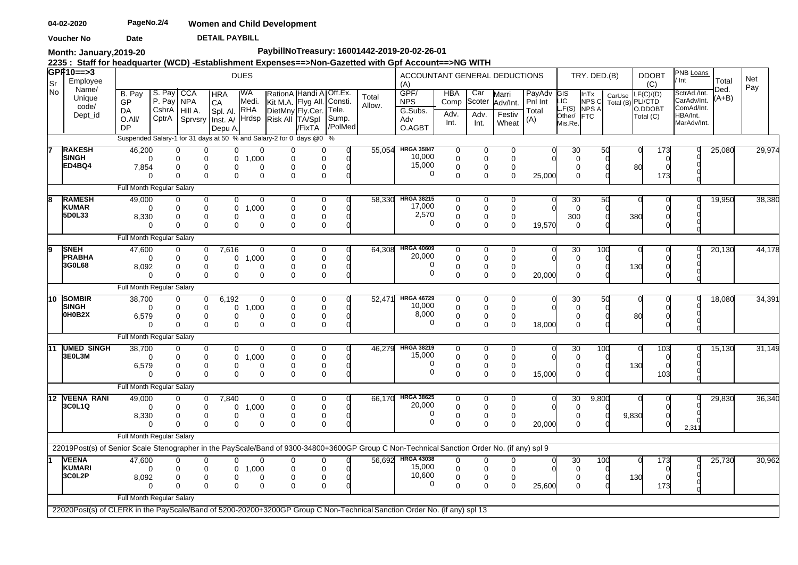**DETAIL PAYBILL Voucher No Date** 

**Month: January,2019-20**

# **PaybillNoTreasury: 16001442-2019-20-02-26-01**

**2235 : Staff for headquarter (WCD) -Establishment Expenses==>Non-Gazetted with Gpf Account==>NG WITH** 

| lSr  | GP#10==>3<br>Employee                                                                                                                       |                                                                     |                                    |                                       |                                                                                | <b>DUES</b>                                                                |                                                                         |                                   |                         |                 | ACCOUNTANT GENERAL DEDUCTIONS<br>(A)           |                                             |                                      |                                      |                                          |                                         | TRY. DED.(B)                          |        | <b>DDOBT</b><br>(C)                                      | PNB Loans<br>' Int                                                   | Total           | Net    |
|------|---------------------------------------------------------------------------------------------------------------------------------------------|---------------------------------------------------------------------|------------------------------------|---------------------------------------|--------------------------------------------------------------------------------|----------------------------------------------------------------------------|-------------------------------------------------------------------------|-----------------------------------|-------------------------|-----------------|------------------------------------------------|---------------------------------------------|--------------------------------------|--------------------------------------|------------------------------------------|-----------------------------------------|---------------------------------------|--------|----------------------------------------------------------|----------------------------------------------------------------------|-----------------|--------|
| l No | Name/<br>Unique<br>code/<br>Dept_id                                                                                                         | B. Pay<br>GP<br><b>DA</b><br>$O.$ All/<br>DP                        | S. Pay<br>P. Pay<br>CshrA<br>CptrA | <b>CCA</b><br><b>NPA</b><br>Hill A.   | <b>HRA</b><br><b>CA</b><br>Spl. Al. RHA<br>Sprvsry   Inst. A/ Hrdsp<br>Depu A. | IWA<br>Medi.                                                               | Kit M.A. Flyg All. Consti.<br>DietMny Fly.Cer. Tele.<br>Risk All TA/Spl | RationA Handi A Off.Ex.<br>/FixTA | Sump.<br>/PolMed        | Total<br>Allow. | GPF/<br><b>NPS</b><br>G.Subs.<br>Adv<br>O.AGBT | <b>HBA</b><br>Comp<br>Adv.<br>Int.          | Car<br>Scoter<br>Adv.<br>Int.        | Marri<br>Adv/Int.<br>Festiv<br>Wheat | PayAdv<br><b>Pnl Int</b><br>Total<br>(A) | EIG<br>SI<br>LF(S)<br>Other/<br>Mis.Re. | InTx<br>NPS C<br>NPS A<br><b>IFTC</b> | CarUse | $-F(C)/(D)$<br>Total (B) PLI/CTD<br>O.DDOBT<br>Total (C) | SctrAd./Int.<br>CarAdv/Int.<br>ComAd/Int.<br>HBA/Int.<br>MarAdv/Int. | Ded.<br>$(A+B)$ | Pay    |
|      |                                                                                                                                             | Suspended Salary-1 for 31 days at 50 % and Salary-2 for 0 days @0 % |                                    |                                       |                                                                                |                                                                            |                                                                         |                                   |                         |                 |                                                |                                             |                                      |                                      |                                          |                                         |                                       |        |                                                          |                                                                      |                 |        |
|      | <b>RAKESH</b><br><b>SINGH</b><br>ED4BQ4                                                                                                     | 46,200<br>7,854                                                     | $\Omega$<br>$\Omega$               | 0<br>0<br>0<br>$\Omega$               | 0<br>0<br>0<br>$\Omega$                                                        | 0<br>0<br>0<br>1,000<br>$\Omega$<br>$\Omega$<br>$\Omega$<br>$\Omega$       | $\Omega$<br>$\Omega$<br>$\Omega$                                        |                                   | 0<br>0<br>0<br>$\Omega$ | 55.054          | <b>HRGA 35847</b><br>10,000<br>15,000<br>0     | 0<br>$\mathbf 0$<br>$\Omega$<br>$\Omega$    | 0<br>$\mathbf 0$<br>0<br>$\Omega$    | 0<br>$\mathbf 0$<br>0<br>$\Omega$    | 25,000                                   | 30<br>0<br>$\Omega$<br>$\Omega$         | 50                                    |        | 80<br>173                                                |                                                                      | 25,080          | 29,974 |
|      |                                                                                                                                             | Full Month Regular Salary                                           |                                    |                                       |                                                                                |                                                                            |                                                                         |                                   |                         |                 |                                                |                                             |                                      |                                      |                                          |                                         |                                       |        |                                                          |                                                                      |                 |        |
| lЯ   | <b>RAMESH</b><br><b>KUMAR</b><br>5D0L33                                                                                                     | 49,000<br>$\Omega$<br>8,330<br>$\Omega$                             |                                    | $\left($<br>$\Omega$<br>0<br>$\Omega$ | 0<br>0<br>0<br>$\Omega$                                                        | 0<br>0<br>1,000<br>0<br>$\Omega$<br>0<br>$\mathbf 0$<br>$\Omega$           | $\Omega$<br>$\Omega$<br>$\Omega$                                        |                                   | 0<br>0<br>0<br>0        | 58,330          | <b>HRGA 38215</b><br>17,000<br>2,570<br>0      | $\Omega$<br>$\Omega$<br>0<br>$\mathbf 0$    | 0<br>$\Omega$<br>0<br>$\mathbf 0$    | 0<br>$\Omega$<br>0<br>$\mathbf 0$    | 19,570                                   | 30<br>$\Omega$<br>300<br>0              | 50                                    |        | 380                                                      |                                                                      | 19,950          | 38,380 |
|      |                                                                                                                                             | Full Month Regular Salary                                           |                                    |                                       |                                                                                |                                                                            |                                                                         |                                   |                         |                 |                                                |                                             |                                      |                                      |                                          |                                         |                                       |        |                                                          |                                                                      |                 |        |
| ۱g   | <b>SNEH</b><br><b>PRABHA</b><br>3G0L68                                                                                                      | 47,600<br>8,092                                                     | $\Omega$                           | O<br>$\Omega$<br>0<br>$\mathbf 0$     | 7,616<br>0<br>$\mathbf 0$<br>0<br>$\mathbf 0$                                  | 0<br>$\mathbf 0$<br>1,000<br>0<br>0<br>$\mathbf 0$<br>$\Omega$             | 0<br>∩<br>$\Omega$                                                      |                                   | 0<br>0<br>0<br>0        | 64,308          | <b>HRGA 40609</b><br>20,000<br>0<br>0          | 0<br>$\Omega$<br>0<br>$\mathbf 0$           | 0<br>$\mathbf 0$<br>0<br>$\mathbf 0$ | 0<br>$\Omega$<br>0<br>$\mathbf 0$    | 20,000                                   | 30<br>$\mathbf 0$<br>0<br>$\mathbf 0$   | 100                                   |        | 130                                                      |                                                                      | 20,130          | 44,178 |
|      |                                                                                                                                             | Full Month Regular Salary                                           |                                    |                                       |                                                                                |                                                                            |                                                                         |                                   |                         |                 |                                                |                                             |                                      |                                      |                                          |                                         |                                       |        |                                                          |                                                                      |                 |        |
| 10   | <b>SOMBIR</b><br>SINGH<br>0H0B2X                                                                                                            | 38,700<br>$\Omega$<br>6,579                                         |                                    | 0<br>0<br>0<br>$\Omega$               | 6,192<br>0<br>0<br>0<br>$\Omega$                                               | $\overline{0}$<br>1,000<br>0<br>$\Omega$<br>0<br>$\Omega$<br>$\mathbf 0$   | $\Omega$<br>$\Omega$<br>∩<br>$\Omega$                                   |                                   | 0<br>0<br>0<br>0        | 52.47           | <b>HRGA 46729</b><br>10,000<br>8,000<br>0      | 0<br>$\mathbf 0$<br>$\mathbf 0$<br>$\Omega$ | 0<br>0<br>0<br>$\Omega$              | 0<br>0<br>0<br>$\Omega$              | 18,000                                   | 30<br>0<br>0<br>$\Omega$                | 50                                    |        | 80                                                       |                                                                      | 18,080          | 34,391 |
|      |                                                                                                                                             | Full Month Regular Salary                                           |                                    |                                       |                                                                                |                                                                            |                                                                         |                                   |                         |                 |                                                |                                             |                                      |                                      |                                          |                                         |                                       |        |                                                          |                                                                      |                 |        |
| 11   | <b>UMED SINGH</b><br>3E0L3M                                                                                                                 | 38,700<br>$\Omega$<br>6,579<br>$\Omega$                             |                                    | 0<br>$\mathbf 0$<br>0<br>$\Omega$     | 0<br>$\mathbf 0$<br>0<br>$\Omega$                                              | $\mathbf 0$<br>0<br>$\mathbf 0$<br>1,000<br>0<br>0<br>$\Omega$<br>$\Omega$ | $\Omega$<br>$\Omega$<br>0<br>$\Omega$                                   |                                   | 0<br>0<br>0<br>0        | 46,279          | <b>HRGA 38219</b><br>15,000<br>0<br>0          | 0<br>$\mathbf 0$<br>$\mathbf 0$<br>$\Omega$ | 0<br>$\mathbf 0$<br>0<br>$\Omega$    | 0<br>$\Omega$<br>0<br>$\mathbf 0$    | 15,000                                   | 30<br>$\mathbf 0$<br>0<br>$\mathbf 0$   | 100                                   |        | 103<br>130<br>103                                        |                                                                      | 15,130          | 31,149 |
|      |                                                                                                                                             | Full Month Regular Salary                                           |                                    |                                       |                                                                                |                                                                            |                                                                         |                                   |                         |                 |                                                |                                             |                                      |                                      |                                          |                                         |                                       |        |                                                          |                                                                      |                 |        |
|      | 12 VEENA RANI<br>3C0L1Q                                                                                                                     | 49,000<br>$\Omega$<br>8,330                                         |                                    | 0<br>$\mathbf 0$<br>0<br>$\Omega$     | 7,840<br>0<br>0<br>0<br>$\Omega$                                               | 0<br>1,000<br>0<br>$\Omega$<br>0<br>$\Omega$<br>$\Omega$                   | 0<br>$\Omega$<br>$\Omega$<br>$\Omega$                                   |                                   | 0<br>0<br>0<br>0        | 66,170          | <b>HRGA 38625</b><br>20,000<br>0<br>0          | 0<br>$\mathbf 0$<br>$\mathbf 0$<br>$\Omega$ | 0<br>$\mathbf 0$<br>0<br>$\Omega$    | 0<br>$\mathbf 0$<br>0<br>$\Omega$    | 20,000                                   | 30<br>0<br>0<br>$\Omega$                | 9,800                                 | 9,830  |                                                          | 2,31                                                                 | 29,830          | 36,340 |
|      |                                                                                                                                             | Full Month Regular Salary                                           |                                    |                                       |                                                                                |                                                                            |                                                                         |                                   |                         |                 |                                                |                                             |                                      |                                      |                                          |                                         |                                       |        |                                                          |                                                                      |                 |        |
|      | 22019Post(s) of Senior Scale Stenographer in the PayScale/Band of 9300-34800+3600GP Group C Non-Technical Sanction Order No. (if any) spl 9 |                                                                     |                                    |                                       |                                                                                |                                                                            |                                                                         |                                   |                         |                 |                                                |                                             |                                      |                                      |                                          |                                         |                                       |        |                                                          |                                                                      |                 |        |
|      | <b>VEENA</b><br>KUMARI<br>3C0L2P                                                                                                            | 47,600<br>∩<br>8,092                                                | $\Omega$                           | 0<br>$\mathbf 0$<br>0<br>$\Omega$     | 0<br>$\Omega$<br>0<br>$\mathbf 0$                                              | 0<br>0<br>$\mathbf 0$<br>1,000<br>0<br>0<br>$\Omega$<br>$\mathbf 0$        | $\Omega$<br>$\Omega$<br>0<br>$\Omega$                                   |                                   | 0<br>0<br>0<br>0        |                 | 56,692 HRGA 43038<br>15,000<br>10,600<br>0     | 0<br>$\mathbf 0$<br>0<br>$\Omega$           | 0<br>$\mathbf 0$<br>0<br>$\Omega$    | 0<br>$\Omega$<br>0<br>$\Omega$       | 25,600                                   | 30<br>$\mathbf 0$<br>0<br>$\mathbf 0$   | 100                                   |        | 173<br>130<br>173                                        |                                                                      | 25,730          | 30,962 |
|      |                                                                                                                                             | Full Month Regular Salary                                           |                                    |                                       |                                                                                |                                                                            |                                                                         |                                   |                         |                 |                                                |                                             |                                      |                                      |                                          |                                         |                                       |        |                                                          |                                                                      |                 |        |
|      | 22020Post(s) of CLERK in the PayScale/Band of 5200-20200+3200GP Group C Non-Technical Sanction Order No. (if any) spl 13                    |                                                                     |                                    |                                       |                                                                                |                                                                            |                                                                         |                                   |                         |                 |                                                |                                             |                                      |                                      |                                          |                                         |                                       |        |                                                          |                                                                      |                 |        |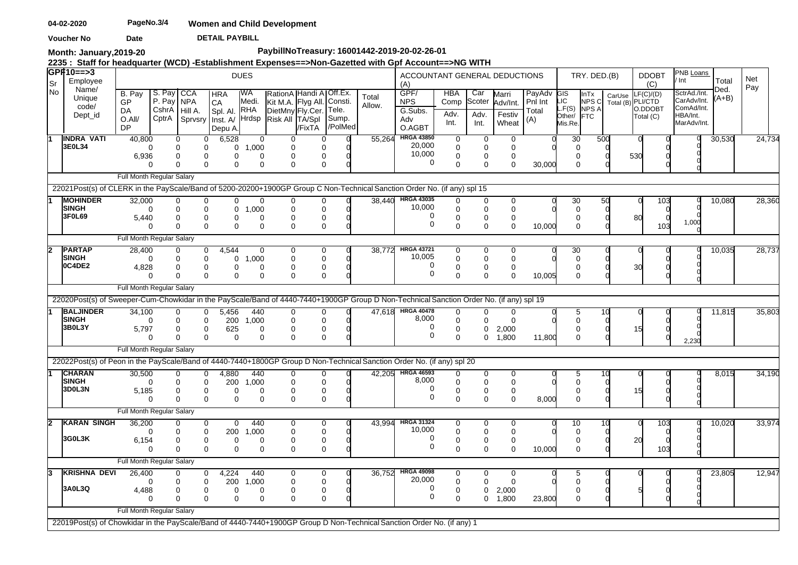**DETAIL PAYBILL Voucher No Date** 

**Month: January,2019-20**

# **PaybillNoTreasury: 16001442-2019-20-02-26-01**

**2235 : Staff for headquarter (WCD) -Establishment Expenses==>Non-Gazetted with Gpf Account==>NG WITH** 

| lSr  | <b>GPF10==&gt;3</b><br>Employee                                                                                                         |                           |                                              |                                          |                                         | <b>DUES</b>             |                                                                                      |                            |                           |                 | ACCOUNTANT GENERAL DEDUCTIONS<br>(A) |                            |                            |                             |                                |                          | TRY. DED.(B)                           |                             | <b>DDOBT</b>                             |     | PNB Loans<br>Int                                      | Total           | Net    |
|------|-----------------------------------------------------------------------------------------------------------------------------------------|---------------------------|----------------------------------------------|------------------------------------------|-----------------------------------------|-------------------------|--------------------------------------------------------------------------------------|----------------------------|---------------------------|-----------------|--------------------------------------|----------------------------|----------------------------|-----------------------------|--------------------------------|--------------------------|----------------------------------------|-----------------------------|------------------------------------------|-----|-------------------------------------------------------|-----------------|--------|
| l No | Name/<br>Unique<br>code/<br>Dept_id                                                                                                     | B. Pay<br>GP<br>DA        | S. Pay<br>P. Pay<br>CshrA   Hill A.<br>CptrA | CCA<br>NPA                               | <b>HRA</b><br><b>CA</b><br>Spl. Al. RHA | IWA<br>Medi.<br>Hrdsp   | RationA Handi A Off.Ex.<br>Kit M.A. Flyg All.<br>DietMny Fly.Cer.<br>Risk All TA/Spl |                            | Consti.<br>Tele.<br>Sump. | Total<br>Allow. | GPF/<br><b>NPS</b><br>G.Subs.        | <b>HBA</b><br>Comp<br>Adv. | Car<br>Scoter<br>Adv.      | Marri<br>Adv/Int.<br>Festiv | PayAdv GIS<br>Pnl Int<br>Total | LIC.<br>L.F(S)<br>Other/ | InTx<br>NPS C<br>NPS A<br><b>I</b> FTC | CarUse<br>Total (B) PLI/CTD | (C)<br>LF(C)/(D)<br>O.DDOBT<br>Total (C) |     | SctrAd./Int.<br>CarAdv/Int.<br>ComAd/Int.<br>HBA/Int. | Ded.<br>$(A+B)$ | Pay    |
|      |                                                                                                                                         | O.All/<br><b>DP</b>       |                                              | Sprvsry                                  | Inst. A/<br>Depu A.                     |                         |                                                                                      | /FixTA                     | /PolMed                   |                 | Adv<br>O.AGBT                        | Int.                       | Int.                       | Wheat                       | (A)                            | Mis.Re.                  |                                        |                             |                                          |     | MarAdv/Int.                                           |                 |        |
| ſT   | <b>INDRA VATI</b><br>3E0L34                                                                                                             | 40,800                    |                                              | $\Omega$<br>0<br>$\Omega$<br>0           | 6,528<br>0                              | $\mathbf 0$<br>1,000    |                                                                                      | 0<br>0                     |                           | 55.264          | <b>HRGA 43850</b><br>20,000          | $\overline{0}$<br>0        | $\mathbf 0$<br>$\mathbf 0$ | 0<br>$\mathbf 0$            |                                | 30<br>$\Omega$           |                                        | 500                         |                                          |     |                                                       | 30,530          | 24,734 |
|      |                                                                                                                                         | 6,936                     |                                              | $\Omega$<br>0<br>$\Omega$<br>$\Omega$    | 0<br>$\mathbf 0$                        | $\Omega$<br>$\mathbf 0$ | 0<br>$\Omega$                                                                        | 0<br>0                     |                           |                 | 10,000<br>0                          | 0<br>$\mathbf 0$           | $\mathbf 0$<br>$\Omega$    | $\mathbf 0$<br>$\Omega$     | 30,000                         | $\Omega$<br>$\Omega$     |                                        |                             | 530                                      |     |                                                       |                 |        |
|      |                                                                                                                                         | Full Month Regular Salary |                                              |                                          |                                         |                         |                                                                                      |                            |                           |                 |                                      |                            |                            |                             |                                |                          |                                        |                             |                                          |     |                                                       |                 |        |
|      | 22021Post(s) of CLERK in the PayScale/Band of 5200-20200+1900GP Group C Non-Technical Sanction Order No. (if any) spl 15                |                           |                                              |                                          |                                         |                         |                                                                                      |                            |                           |                 |                                      |                            |                            |                             |                                |                          |                                        |                             |                                          |     |                                                       |                 |        |
|      | <b>MOHINDER</b><br><b>SINGH</b>                                                                                                         | 32,000                    |                                              | $\Omega$<br>0                            | 0                                       | $\Omega$                |                                                                                      | $\Omega$                   |                           | 38.440          | <b>HRGA 43035</b><br>10,000          | $\Omega$                   | $\Omega$                   | $\Omega$                    |                                | 30                       |                                        | 50                          |                                          | 103 |                                                       | 10,080          | 28,360 |
|      | 3F0L69                                                                                                                                  | $\Omega$<br>5,440         |                                              | 0<br>0<br>$\Omega$<br>0                  | 0<br>0                                  | 1.000<br>$\Omega$       | 0<br>$\Omega$                                                                        | $\mathbf 0$<br>$\mathbf 0$ |                           |                 | 0                                    | $\mathbf 0$<br>$\mathbf 0$ | $\mathbf 0$<br>$\mathbf 0$ | $\mathbf 0$<br>$\mathbf 0$  |                                | $\mathbf 0$<br>$\Omega$  |                                        |                             | 80                                       |     |                                                       |                 |        |
|      |                                                                                                                                         |                           |                                              | $\Omega$<br>$\Omega$                     | 0                                       | 0                       | $\Omega$                                                                             | 0                          |                           |                 | $\Omega$                             | 0                          | 0                          | $\mathbf 0$                 | 10,000                         | 0                        |                                        |                             |                                          | 103 | 1,000                                                 |                 |        |
|      |                                                                                                                                         | Full Month Regular Salary |                                              |                                          |                                         |                         |                                                                                      |                            |                           |                 |                                      |                            |                            |                             |                                |                          |                                        |                             |                                          |     |                                                       |                 |        |
| 2    | <b>PARTAP</b>                                                                                                                           | 28,400                    |                                              | 0<br>0                                   | 4,544                                   | $\Omega$                | 0                                                                                    | 0                          |                           | 38,772          | <b>HRGA 43721</b>                    | 0                          | 0                          | 0                           |                                | 30                       |                                        |                             |                                          |     |                                                       | 10,035          | 28,737 |
|      | <b>SINGH</b><br>OC4DE2                                                                                                                  | $\Omega$                  |                                              | 0<br>0                                   | 0                                       | 1,000                   | 0                                                                                    | $\mathbf 0$                |                           |                 | 10,005<br>$\Omega$                   | $\mathbf 0$                | $\mathbf 0$                | $\mathbf 0$                 |                                | $\Omega$                 |                                        |                             |                                          |     |                                                       |                 |        |
|      |                                                                                                                                         | 4,828<br>$\Omega$         |                                              | $\mathbf 0$<br>0<br>$\Omega$<br>$\Omega$ | 0<br>$\mathbf 0$                        | $\Omega$<br>$\mathbf 0$ | 0<br>$\Omega$                                                                        | 0<br>$\mathbf 0$           |                           |                 | $\Omega$                             | 0<br>$\mathbf 0$           | 0<br>$\mathbf 0$           | $\mathbf 0$<br>$\Omega$     | 10,005                         | $\Omega$<br>$\Omega$     |                                        |                             | 30                                       |     |                                                       |                 |        |
|      |                                                                                                                                         | Full Month Regular Salary |                                              |                                          |                                         |                         |                                                                                      |                            |                           |                 |                                      |                            |                            |                             |                                |                          |                                        |                             |                                          |     |                                                       |                 |        |
|      | 22020Post(s) of Sweeper-Cum-Chowkidar in the PayScale/Band of 4440-7440+1900GP Group D Non-Technical Sanction Order No. (if any) spl 19 |                           |                                              |                                          |                                         |                         |                                                                                      |                            |                           |                 |                                      |                            |                            |                             |                                |                          |                                        |                             |                                          |     |                                                       |                 |        |
|      | <b>BALJINDER</b>                                                                                                                        | 34,100                    |                                              | 0<br>0                                   | 5,456                                   | 440                     | 0                                                                                    | 0                          |                           |                 | 47.618 HRGA 40478                    | 0                          | $\Omega$                   | $\Omega$                    |                                | 5                        |                                        |                             |                                          |     |                                                       | 11,815          | 35,803 |
|      | <b>ISINGH</b><br>3B0L3Y                                                                                                                 | $\Omega$                  |                                              | 0<br>0                                   | 200                                     | 1,000                   | $\Omega$                                                                             | $\mathbf 0$                |                           |                 | 8,000<br>0                           | $\mathbf 0$                | $\Omega$                   | $\mathbf 0$                 |                                | $\Omega$                 |                                        |                             |                                          |     |                                                       |                 |        |
|      |                                                                                                                                         | 5,797<br>$\Omega$         |                                              | 0<br>0<br>$\Omega$<br>0                  | 625<br>0                                | 0<br>$\mathbf 0$        | 0<br>$\Omega$                                                                        | 0<br>0                     |                           |                 | $\Omega$                             | 0<br>0                     | 0<br>$\mathbf{0}$          | 2,000<br>1,800              | 11,800                         | 0<br>$\Omega$            |                                        |                             | 15                                       |     |                                                       |                 |        |
|      |                                                                                                                                         | Full Month Regular Salary |                                              |                                          |                                         |                         |                                                                                      |                            |                           |                 |                                      |                            |                            |                             |                                |                          |                                        |                             |                                          |     | 2,230                                                 |                 |        |
|      | 22022Post(s) of Peon in the PayScale/Band of 4440-7440+1800GP Group D Non-Technical Sanction Order No. (if any) spl 20                  |                           |                                              |                                          |                                         |                         |                                                                                      |                            |                           |                 |                                      |                            |                            |                             |                                |                          |                                        |                             |                                          |     |                                                       |                 |        |
|      | <b>CHARAN</b>                                                                                                                           | 30,500                    |                                              | 0<br>0                                   | 4,880                                   | 440                     | 0                                                                                    | 0                          |                           | 42,205          | <b>HRGA 46593</b>                    | $\Omega$                   | 0                          | $\mathbf 0$                 |                                | 5                        |                                        |                             |                                          |     |                                                       | 8,015           | 34,190 |
|      | <b>SINGH</b>                                                                                                                            | $\Omega$                  |                                              | $\Omega$<br>$\Omega$                     | 200                                     | 1,000                   | $\Omega$                                                                             | $\Omega$                   |                           |                 | 8,000                                | $\Omega$                   | $\mathbf 0$                | $\mathbf 0$                 |                                | $\Omega$                 |                                        |                             |                                          |     |                                                       |                 |        |
|      | 3D0L3N                                                                                                                                  | 5,185<br>$\Omega$         |                                              | $\Omega$<br>0<br>$\Omega$<br>$\Omega$    | 0<br>$\Omega$                           | $\Omega$<br>$\mathbf 0$ | $\Omega$<br>$\Omega$                                                                 | 0<br>$\mathbf 0$           |                           |                 | 0<br>$\Omega$                        | 0<br>$\Omega$              | 0<br>$\Omega$              | 0<br>$\mathbf 0$            | 8,000                          | 0<br>$\Omega$            |                                        |                             | 15                                       |     |                                                       |                 |        |
|      |                                                                                                                                         | Full Month Regular Salary |                                              |                                          |                                         |                         |                                                                                      |                            |                           |                 |                                      |                            |                            |                             |                                |                          |                                        |                             |                                          |     |                                                       |                 |        |
| 12   | <b>KARAN SINGH</b>                                                                                                                      | 36.200                    |                                              | 0<br>0                                   | $\Omega$                                | 440                     | 0                                                                                    | $\mathbf 0$                |                           | 43.994          | <b>HRGA 31324</b>                    | $\Omega$                   | 0                          | 0                           |                                | 10                       |                                        |                             |                                          | 103 |                                                       | 10,020          | 33,974 |
|      |                                                                                                                                         | $\Omega$                  |                                              | $\mathbf 0$<br>0                         | 200                                     | 1,000                   | $\Omega$                                                                             | $\mathbf 0$                |                           |                 | 10,000                               | $\mathbf 0$                | $\mathbf 0$                | $\mathbf 0$                 |                                | $\Omega$                 |                                        |                             |                                          |     |                                                       |                 |        |
|      | 3G0L3K                                                                                                                                  | 6,154                     |                                              | 0<br>0                                   | 0                                       | $\Omega$                | 0                                                                                    | 0                          |                           |                 | $\Omega$                             | 0                          | 0                          | $\mathbf 0$                 |                                | $\Omega$                 |                                        |                             | 20                                       |     |                                                       |                 |        |
|      |                                                                                                                                         | $\Omega$                  |                                              | $\Omega$<br>$\mathbf 0$                  | $\Omega$                                | $\Omega$                | $\Omega$                                                                             | 0                          |                           |                 | $\Omega$                             | $\mathbf 0$                | $\mathbf 0$                | $\Omega$                    | 10,000                         | $\mathbf 0$              |                                        |                             |                                          | 103 |                                                       |                 |        |
|      |                                                                                                                                         | Full Month Regular Salary |                                              |                                          |                                         |                         |                                                                                      |                            |                           |                 |                                      |                            |                            |                             |                                |                          |                                        |                             |                                          |     |                                                       |                 |        |
| 3    | <b>KRISHNA DEVI</b>                                                                                                                     | 26,400                    |                                              | 0<br>0                                   | 4,224                                   | 440                     | 0                                                                                    | 0                          |                           | 36.752          | <b>HRGA 49098</b><br>20,000          | 0                          | $\Omega$                   | $\Omega$                    |                                | 5                        |                                        |                             |                                          |     |                                                       | 23,805          | 12,947 |
|      | 3A0L3Q                                                                                                                                  | $\Omega$<br>4,488         |                                              | 0<br>0<br>0<br>0                         | 200<br>0                                | 1,000<br>$\Omega$       | $\Omega$<br>$\Omega$                                                                 | $\mathbf 0$<br>0           |                           |                 | 0                                    | $\mathbf 0$<br>$\mathbf 0$ | $\Omega$<br>$\Omega$       | $\mathbf 0$<br>2,000        |                                | $\Omega$                 |                                        |                             |                                          |     |                                                       |                 |        |
|      |                                                                                                                                         | $\Omega$                  |                                              | $\Omega$<br>0                            | 0                                       | $\Omega$                | $\Omega$                                                                             | $\Omega$                   |                           |                 | $\mathbf 0$                          | 0                          | $\mathbf{0}$               | 1,800                       | 23,800                         | 0                        |                                        |                             |                                          |     |                                                       |                 |        |
|      |                                                                                                                                         | Full Month Regular Salary |                                              |                                          |                                         |                         |                                                                                      |                            |                           |                 |                                      |                            |                            |                             |                                |                          |                                        |                             |                                          |     |                                                       |                 |        |
|      | 22019Post(s) of Chowkidar in the PayScale/Band of 4440-7440+1900GP Group D Non-Technical Sanction Order No. (if any) 1                  |                           |                                              |                                          |                                         |                         |                                                                                      |                            |                           |                 |                                      |                            |                            |                             |                                |                          |                                        |                             |                                          |     |                                                       |                 |        |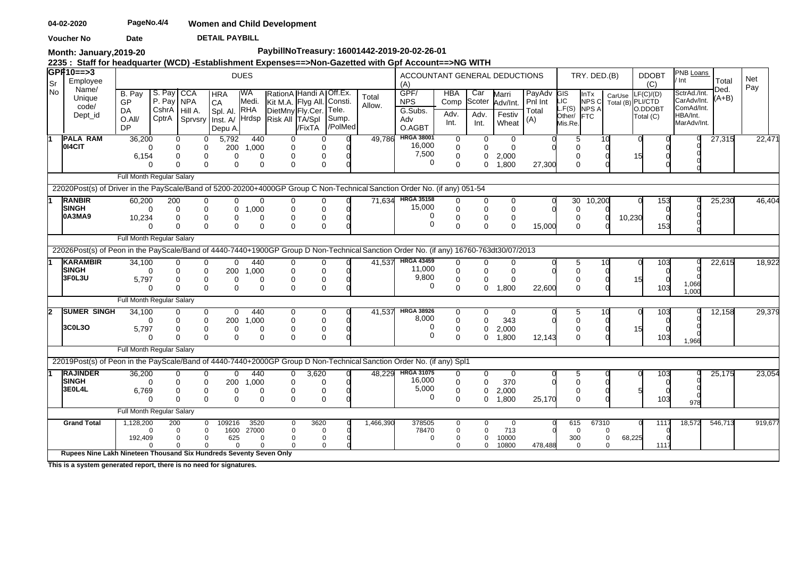**DETAIL PAYBILL Voucher No Date** 

**Month: January,2019-20**

# **PaybillNoTreasury: 16001442-2019-20-02-26-01**

**2235 : Staff for headquarter (WCD) -Establishment Expenses==>Non-Gazetted with Gpf Account==>NG WITH** 

| ∣Sr  | GP#10==>3<br>Employee                                                                                                                                       |                                                  |                                                    |                                                                                        |                                                                          | <b>DUES</b>                              |                                                                                              |                                |                           |                 | ACCOUNTANT GENERAL DEDUCTIONS<br>(A)             |                                             |                                |                                             |                                   |                                          | TRY. DED.(B)                                        |                           | <b>DDOBT</b><br>(C)                                   | PNB Loans<br>' Int                                                   | Total           | Net<br>Pay |
|------|-------------------------------------------------------------------------------------------------------------------------------------------------------------|--------------------------------------------------|----------------------------------------------------|----------------------------------------------------------------------------------------|--------------------------------------------------------------------------|------------------------------------------|----------------------------------------------------------------------------------------------|--------------------------------|---------------------------|-----------------|--------------------------------------------------|---------------------------------------------|--------------------------------|---------------------------------------------|-----------------------------------|------------------------------------------|-----------------------------------------------------|---------------------------|-------------------------------------------------------|----------------------------------------------------------------------|-----------------|------------|
| l No | Name/<br>Unique<br>code/<br>Dept_id                                                                                                                         | B. Pay<br><b>GP</b><br>DA<br>O.All/<br><b>DP</b> | S. Pay CCA<br>P. Pay NPA<br>CshrA Hill A.<br>CptrA |                                                                                        | <b>HRA</b><br><b>CA</b><br>Spl. Al.<br>Sprvsry Inst. A/ Hrdsp<br>Depu A. | IWA<br>Medi.<br><b>RHA</b>               | RationA Handi A Off.Ex.<br>Kit M.A. Flyg All. Consti.<br>DietMny Fly.Cer.<br>Risk All TA/Spl | /FixTA                         | Tele.<br>Sump.<br>/PolMed | Total<br>Allow. | GPF/<br><b>NPS</b><br>G.Subs.<br>Adv<br>O.AGBT   | <b>HBA</b><br>Comp<br>Adv.<br>Int.          | Car<br>Scoter<br>Adv.<br>Int.  | Marri<br>Adv/Int.<br>Festiv<br>Wheat        | PayAdv<br>Pni Int<br>Total<br>(A) | GIS<br>LIC<br>LF(S)<br>Other/<br>Mis.Re. | <b>InTx</b><br>NPS C<br><b>NPS A</b><br><b>IFTC</b> | CarUse                    | F(C)/(D)<br>Total (B) PLI/CTD<br>O.DDOBT<br>Total (C) | SctrAd./Int.<br>CarAdv/Int.<br>ComAd/Int.<br>HBA/Int.<br>MarAdv/Int. | Ded.<br>$(A+B)$ |            |
|      | <b>PALA RAM</b><br>014CIT                                                                                                                                   | 36,200<br>$\Omega$<br>6,154<br>$\Omega$          |                                                    | 0<br>0<br>0<br>0<br>0<br>0<br>$\Omega$<br>$\Omega$                                     | 5,792<br>200<br>0<br>$\Omega$                                            | 440<br>1,000<br>$\Omega$<br>$\Omega$     | 0<br>0<br>$\Omega$<br>$\Omega$                                                               | 0<br>0<br>$\Omega$             |                           | 49.786          | <b>HRGA 38001</b><br>16,000<br>7,500<br>0        | 0<br>$\mathbf 0$<br>$\mathbf 0$<br>$\Omega$ | $\overline{0}$<br>0<br>0<br>0  | $\mathbf{0}$<br>$\Omega$<br>2,000<br>1,800  | 27,300                            | 5<br>$\Omega$                            |                                                     | 10                        | 15                                                    |                                                                      | 27,315          | 22,471     |
|      |                                                                                                                                                             | Full Month Regular Salary                        |                                                    |                                                                                        |                                                                          |                                          |                                                                                              |                                |                           |                 |                                                  |                                             |                                |                                             |                                   |                                          |                                                     |                           |                                                       |                                                                      |                 |            |
|      | 22020Post(s) of Driver in the PayScale/Band of 5200-20200+4000GP Group C Non-Technical Sanction Order No. (if any) 051-54<br><b>RANBIR</b>                  | 60,200                                           | 200                                                | 0                                                                                      | 0                                                                        | 0                                        |                                                                                              |                                |                           | 71.634          | <b>HRGA 35158</b>                                | 0                                           | 0                              |                                             |                                   | 30                                       |                                                     |                           | 153                                                   |                                                                      | 25,230          | 46,404     |
|      | Isingh<br>0A3MA9                                                                                                                                            | $\Omega$<br>10,234<br>$\Omega$                   |                                                    | $\mathbf 0$<br>0<br>$\mathbf 0$<br>0<br>$\Omega$<br>$\Omega$                           | 0<br>0<br>$\Omega$                                                       | 1,000<br>$\Omega$<br>$\Omega$            | $\Omega$                                                                                     | 0<br>0<br>0<br>$\mathbf 0$     |                           |                 | 15,000<br>0<br>$\Omega$                          | $\mathbf 0$<br>$\Omega$<br>$\Omega$         | 0<br>$\Omega$<br>$\mathbf 0$   | 0<br>$\mathbf 0$<br>$\mathbf 0$<br>$\Omega$ | 15,000                            | $\Omega$<br>$\Omega$                     | 10,200                                              | 10,230                    | 153                                                   |                                                                      |                 |            |
|      |                                                                                                                                                             | Full Month Regular Salary                        |                                                    |                                                                                        |                                                                          |                                          |                                                                                              |                                |                           |                 |                                                  |                                             |                                |                                             |                                   |                                          |                                                     |                           |                                                       |                                                                      |                 |            |
|      | 22026Post(s) of Peon in the PayScale/Band of 4440-7440+1900GP Group D Non-Technical Sanction Order No. (if any) 16760-763dt30/07/2013                       |                                                  |                                                    |                                                                                        |                                                                          |                                          |                                                                                              |                                |                           |                 |                                                  |                                             |                                |                                             |                                   |                                          |                                                     |                           |                                                       |                                                                      |                 |            |
|      | <b>KARAMBIR</b><br><b>SINGH</b><br>3F0L3U                                                                                                                   | 34.100<br>$\Omega$<br>5,797<br>∩                 |                                                    | $\mathbf 0$<br>0<br>0<br>0<br>0<br>0<br>$\Omega$<br>$\Omega$                           | $\Omega$<br>200<br>0<br>$\Omega$                                         | 440<br>1,000<br>$\Omega$<br>$\Omega$     | 0<br>$\Omega$<br>$\Omega$                                                                    | 0<br>0<br>0<br>$\mathbf 0$     |                           | 41.537          | <b>HRGA 43459</b><br>11,000<br>9,800<br>0        | 0<br>0<br>$\mathbf 0$<br>$\Omega$           | 0<br>0<br>0<br>0               | 0<br>$\Omega$<br>$\mathbf 0$<br>1,800       | 22,600                            | 5<br>$\Omega$<br>$\Omega$                |                                                     | 10                        | 103<br>103                                            | 1,066<br>1,000                                                       | 22,615          | 18,922     |
|      |                                                                                                                                                             | Full Month Regular Salary                        |                                                    |                                                                                        |                                                                          |                                          |                                                                                              |                                |                           |                 |                                                  |                                             |                                |                                             |                                   |                                          |                                                     |                           |                                                       |                                                                      |                 |            |
| 2    | <b>SUMER SINGH</b><br>3C0L3O                                                                                                                                | 34,100<br>∩<br>5.797<br>$\Omega$                 |                                                    | $\mathbf 0$<br>0<br>$\mathbf 0$<br>0<br>0<br>0<br>$\Omega$<br>$\Omega$                 | 0<br>200<br>0<br>$\Omega$                                                | 440<br>1,000<br>$\Omega$<br>$\Omega$     | 0<br>0<br>$\Omega$                                                                           | 0<br>0<br>0<br>$\Omega$        |                           | 41.537          | <b>HRGA 38926</b><br>8,000<br>0<br>$\Omega$      | 0<br>$\mathbf 0$<br>$\mathbf 0$<br>0        | 0<br>$\Omega$<br>0<br>0        | -0<br>343<br>2,000<br>1,800                 | 12,143                            | 5<br>$\Omega$                            |                                                     | 10                        | 103<br>15<br>103                                      | 1,966                                                                | 12,158          | 29,379     |
|      |                                                                                                                                                             | Full Month Regular Salary                        |                                                    |                                                                                        |                                                                          |                                          |                                                                                              |                                |                           |                 |                                                  |                                             |                                |                                             |                                   |                                          |                                                     |                           |                                                       |                                                                      |                 |            |
|      | 22019Post(s) of Peon in the PayScale/Band of 4440-7440+2000GP Group D Non-Technical Sanction Order No. (if any) Spl1<br><b>RAJINDER</b><br>Isingh<br>3E0L4L | 36,200<br>∩<br>6,769<br>$\Omega$                 |                                                    | 0<br>0<br>0<br>0<br>0<br>0<br>$\Omega$<br>$\Omega$                                     | 0<br>200<br>0<br>$\Omega$                                                | 440<br>1,000<br>$\Omega$<br>$\Omega$     | 0<br>$\Omega$<br>0<br>$\Omega$                                                               | 3,620<br>$\mathbf 0$<br>0<br>0 |                           |                 | 48,229 HRGA 31075<br>16,000<br>5,000<br>$\Omega$ | 0<br>0<br>$\mathbf 0$<br>$\Omega$           | 0<br>$\Omega$<br>0<br>0        | $\mathbf 0$<br>370<br>2,000<br>1.800        | 25.170                            | 5<br>$\Omega$                            |                                                     |                           | 103<br>103                                            | 978                                                                  | 25,175          | 23,054     |
|      |                                                                                                                                                             | Full Month Regular Salary                        |                                                    |                                                                                        |                                                                          |                                          |                                                                                              |                                |                           |                 |                                                  |                                             |                                |                                             |                                   |                                          |                                                     |                           |                                                       |                                                                      |                 |            |
|      | <b>Grand Total</b>                                                                                                                                          | 1,128,200<br>∩<br>192,409                        | 200                                                | $\mathbf{0}$<br>$\mathbf 0$<br>$\mathbf 0$<br>$\mathbf 0$<br>0<br>$\Omega$<br>$\Omega$ | 109216<br>1600<br>625<br>$\Omega$                                        | 3520<br>27000<br>$\mathbf 0$<br>$\Omega$ | 0<br>$\Omega$<br>$\Omega$                                                                    | 3620<br>0<br>0<br>$\Omega$     |                           | 1,466,390       | 378505<br>78470<br>$\mathbf 0$                   | 0<br>0<br>$\Omega$<br>$\Omega$              | 0<br>0<br>$\Omega$<br>$\Omega$ | $\mathbf 0$<br>713<br>10000<br>10800        | 478,488                           | 615<br>$\Omega$<br>300<br>$\mathbf 0$    | 67310                                               | $\Omega$<br>0<br>$\Omega$ | 1117<br>68,225<br>111                                 | 18,572                                                               | 546,713         | 919,677    |
|      | Rupees Nine Lakh Nineteen Thousand Six Hundreds Seventy Seven Only                                                                                          |                                                  |                                                    |                                                                                        |                                                                          |                                          |                                                                                              |                                |                           |                 |                                                  |                                             |                                |                                             |                                   |                                          |                                                     |                           |                                                       |                                                                      |                 |            |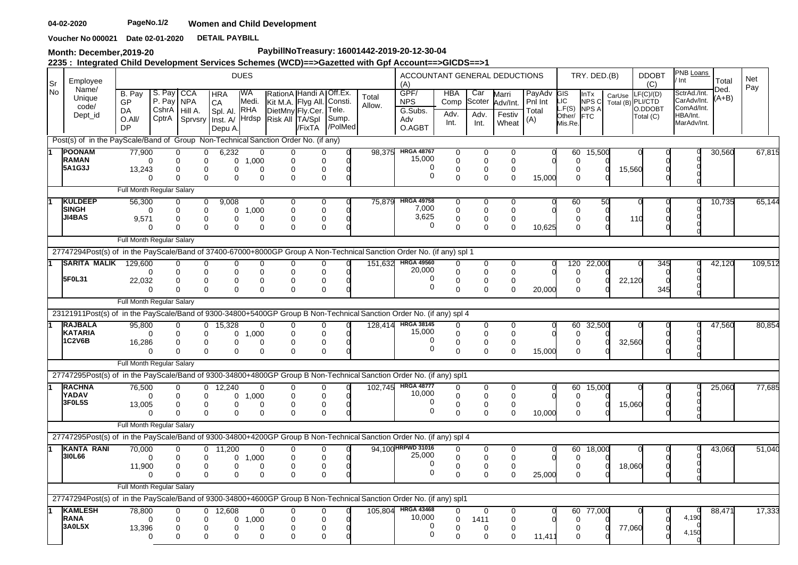Voucher No 000021 Date 02-01-2020 DETAIL PAYBILL

**Month: December,2019-20**

# **PaybillNoTreasury: 16001442-2019-20-12-30-04**

**2235 : Integrated Child Development Services Schemes (WCD)==>Gazetted with Gpf Account==>GICDS==>1**

| lSr  | Employee                                                                                                                                     |                                                  |                           |                                             |                                                                       | <b>DUES</b>                           |                                                           |                                   |                                      |                 | ACCOUNTANT GENERAL DEDUCTIONS<br>(A)           |                                    |                               |                                      |                                       |                                   | TRY. DED.(B)                        |        | <b>DDOBT</b><br>(C)                                    | PNB Loans<br>Int                                                     | Total               | Net     |  |
|------|----------------------------------------------------------------------------------------------------------------------------------------------|--------------------------------------------------|---------------------------|---------------------------------------------|-----------------------------------------------------------------------|---------------------------------------|-----------------------------------------------------------|-----------------------------------|--------------------------------------|-----------------|------------------------------------------------|------------------------------------|-------------------------------|--------------------------------------|---------------------------------------|-----------------------------------|-------------------------------------|--------|--------------------------------------------------------|----------------------------------------------------------------------|---------------------|---------|--|
| l No | Name/<br>Unique<br>code/<br>Dept_id                                                                                                          | B. Pav<br>GP<br><b>DA</b><br>O.All/<br><b>DP</b> | S. Pay<br>P. Pay<br>CptrA | <b>CCA</b><br><b>NPA</b><br>CshrA   Hill A. | <b>HRA</b><br>CA<br>Spl. Al. RHA<br>Sprvsry Inst. A/ Hrdsp<br>Depu A. | IWA<br>Medi.                          | Kit M.A. Flyg All.<br>DietMny Fly.Cer.<br>Risk All TA/Spl | RationA Handi A Off.Ex.<br>/FixTA | Consti.<br>Tele.<br>Sump.<br>/PolMed | Total<br>Allow. | GPF/<br><b>NPS</b><br>G.Subs.<br>Adv<br>O.AGBT | <b>HBA</b><br>Comp<br>Adv.<br>Int. | Car<br>Scoter<br>Adv.<br>Int. | Marri<br>Adv/Int.<br>Festiv<br>Wheat | PayAdv GIS<br>Pnl Int<br>Total<br>(A) | IC<br>L.F(S)<br>Other/<br>Mis.Re. | InTx<br>NPSC<br>NPS A<br><b>FTC</b> | CarUse | LF(C)/(D)<br>Total (B) PLI/CTD<br>O.DDOBT<br>Total (C) | SctrAd./Int.<br>CarAdv/Int.<br>ComAd/Int.<br>HBA/Int.<br>MarAdv/Int. | Ded.<br>(A+B)       | Pay     |  |
|      | Post(s) of in the PayScale/Band of Group Non-Technical Sanction Order No. (if any)                                                           |                                                  |                           |                                             |                                                                       |                                       |                                                           |                                   |                                      |                 |                                                |                                    |                               |                                      |                                       |                                   |                                     |        |                                                        |                                                                      |                     |         |  |
|      | <b>POONAM</b>                                                                                                                                | 77.900                                           |                           | $\Omega$                                    | 0<br>6,232                                                            |                                       | $\Omega$                                                  |                                   |                                      | 98.375          | <b>HRGA 48767</b>                              | 0                                  | $\Omega$                      | $\Omega$                             |                                       | 60                                | 15,500                              |        |                                                        |                                                                      | 30,560              | 67,815  |  |
|      | <b>RAMAN</b><br>5A1G3J                                                                                                                       | 13,243                                           | $\Omega$                  | $\mathbf 0$<br>$\Omega$                     | 0<br>$\Omega$                                                         | 1.000<br>0<br>$\Omega$                | <sup>0</sup><br>$\Omega$<br>∩                             | $\Omega$<br>$\Omega$              |                                      |                 | 15,000<br>0                                    | $\Omega$<br>$\Omega$               | $\mathbf 0$<br>$\Omega$       | $\Omega$<br>$\Omega$                 |                                       |                                   | $\Omega$<br>$\Omega$                | 15,560 |                                                        |                                                                      |                     |         |  |
|      |                                                                                                                                              |                                                  |                           | $\Omega$                                    | 0                                                                     | $\Omega$                              | $\Omega$<br>$\Omega$                                      | 0                                 |                                      |                 | $\Omega$                                       | $\Omega$                           | $\Omega$                      | $\Omega$                             | 15,000                                |                                   | $\Omega$                            |        |                                                        |                                                                      |                     |         |  |
|      |                                                                                                                                              | Full Month Regular Salary                        |                           |                                             |                                                                       |                                       |                                                           |                                   |                                      |                 |                                                |                                    |                               |                                      |                                       |                                   |                                     |        |                                                        |                                                                      |                     |         |  |
|      | <b>KULDEEP</b><br><b>SINGH</b>                                                                                                               | 56.300                                           |                           | 0                                           | 9.008<br>$\mathbf{0}$                                                 |                                       | $\Omega$                                                  | 0                                 |                                      | 75.879          | <b>HRGA 49758</b><br>7,000                     | 0                                  | 0                             | $\Omega$                             |                                       | 60                                |                                     | 50     |                                                        |                                                                      | 10,735              | 65,144  |  |
|      | JI4BAS                                                                                                                                       | 9.571                                            | $\Omega$                  | $\Omega$<br>$\Omega$                        | 0<br>0                                                                | 1,000<br>0<br>0                       | 0<br>0                                                    | $\mathbf 0$<br>0                  |                                      |                 | 3,625                                          | $\Omega$<br>$\mathbf 0$            | $\mathbf 0$<br>$\mathbf 0$    | $\mathbf 0$<br>$\mathbf 0$           |                                       |                                   | $\Omega$<br>0                       |        | 11 O                                                   |                                                                      |                     |         |  |
|      |                                                                                                                                              |                                                  | $\Omega$                  | $\Omega$                                    | $\Omega$                                                              | $\Omega$                              | $\Omega$<br>U                                             | $\Omega$                          |                                      |                 | $\mathbf 0$                                    | $\Omega$                           | $\Omega$                      | $\Omega$                             | 10,625                                |                                   | $\Omega$                            |        |                                                        |                                                                      |                     |         |  |
|      |                                                                                                                                              | Full Month Regular Salary                        |                           |                                             |                                                                       |                                       |                                                           |                                   |                                      |                 |                                                |                                    |                               |                                      |                                       |                                   |                                     |        |                                                        |                                                                      |                     |         |  |
|      | 27747294Post(s) of in the PayScale/Band of 37400-67000+8000GP Group A Non-Technical Sanction Order No. (if any) spl 1<br><b>SARITA MALIK</b> |                                                  |                           |                                             |                                                                       |                                       |                                                           |                                   |                                      | 151.632         | <b>HRGA 49560</b>                              | $\Omega$                           |                               |                                      |                                       |                                   |                                     |        |                                                        |                                                                      |                     |         |  |
|      |                                                                                                                                              | 129.600                                          | $\Omega$                  | $\Omega$<br>$\Omega$<br>$\mathbf 0$         | $\Omega$                                                              | $\Omega$<br>$\Omega$                  | $\Omega$<br>$\Omega$<br>$\Omega$<br>$\Omega$              | $\Omega$<br>$\Omega$              |                                      |                 | 20,000                                         | $\Omega$                           | $\Omega$<br>$\mathbf 0$       | $\Omega$<br>$\mathbf 0$              |                                       | 120                               | 22,000<br>$\Omega$                  |        | 345                                                    |                                                                      | $\overline{42,120}$ | 109,512 |  |
|      | 5F0L31                                                                                                                                       | 22,032                                           | $\Omega$                  | $\Omega$<br>$\Omega$                        | $\Omega$<br>$\Omega$                                                  | 0<br>$\Omega$<br>$\Omega$<br>$\Omega$ | 0<br>$\Omega$                                             | 0<br>$\Omega$                     |                                      |                 | 0<br>$\Omega$                                  | 0<br>$\Omega$                      | 0<br>$\Omega$                 | 0<br>$\Omega$                        | 20,000                                |                                   | $\Omega$<br>$\Omega$                | 22,120 | 345                                                    |                                                                      |                     |         |  |
|      |                                                                                                                                              | Full Month Regular Salary                        |                           |                                             |                                                                       |                                       |                                                           |                                   |                                      |                 |                                                |                                    |                               |                                      |                                       |                                   |                                     |        |                                                        |                                                                      |                     |         |  |
|      | 23121911Post(s) of in the PayScale/Band of 9300-34800+5400GP Group B Non-Technical Sanction Order No. (if any) spl 4                         |                                                  |                           |                                             |                                                                       |                                       |                                                           |                                   |                                      |                 |                                                |                                    |                               |                                      |                                       |                                   |                                     |        |                                                        |                                                                      |                     |         |  |
|      | <b>RAJBALA</b>                                                                                                                               | 95,800                                           |                           | 0                                           | $0$ 15,328                                                            |                                       | 0<br>0                                                    | 0                                 |                                      | 128.414         | <b>HRGA 38145</b>                              | 0                                  | 0                             | 0                                    |                                       | 60                                | 32,500                              |        |                                                        |                                                                      | 47,560              | 80,854  |  |
|      | <b>KATARIA</b><br><b>1C2V6B</b>                                                                                                              | 16,286                                           | $\Omega$                  | $\Omega$<br>0                               | $\Omega$<br>0                                                         | $\mathbf 0$<br>1.000<br>0<br>$\Omega$ | $\Omega$<br>0                                             | $\mathbf 0$<br>0                  |                                      |                 | 15,000<br>0                                    | $\Omega$<br>0                      | $\mathbf 0$<br>0              | $\mathbf 0$<br>$\mathbf 0$           |                                       |                                   | $\Omega$<br>0                       | 32,560 |                                                        |                                                                      |                     |         |  |
|      |                                                                                                                                              |                                                  | $\Omega$                  | $\Omega$                                    | $\Omega$                                                              | $\Omega$                              | $\Omega$<br>$\Omega$                                      | $\mathbf 0$                       |                                      |                 | $\mathbf 0$                                    | $\mathbf 0$                        | $\Omega$                      | $\Omega$                             | 15,000                                |                                   | $\Omega$                            |        |                                                        |                                                                      |                     |         |  |
|      |                                                                                                                                              | Full Month Regular Salary                        |                           |                                             |                                                                       |                                       |                                                           |                                   |                                      |                 |                                                |                                    |                               |                                      |                                       |                                   |                                     |        |                                                        |                                                                      |                     |         |  |
|      | 27747295Post(s) of in the PayScale/Band of 9300-34800+4800GP Group B Non-Technical Sanction Order No. (if any) spl1                          |                                                  |                           |                                             |                                                                       |                                       |                                                           |                                   |                                      |                 |                                                |                                    |                               |                                      |                                       |                                   |                                     |        |                                                        |                                                                      |                     |         |  |
|      | <b>RACHNA</b><br>YADAV                                                                                                                       | 76,500                                           | $\Omega$                  | 0<br>$\Omega$                               | $0$ 12,240<br>$\Omega$                                                | 1.000<br>0                            | $\mathbf 0$<br>0<br>$\Omega$                              | 0<br>$\Omega$                     |                                      |                 | 102,745 HRGA 48777<br>10,000                   | 0<br>$\Omega$                      | 0<br>$\Omega$                 | $\mathbf 0$<br>$\Omega$              |                                       | 60                                | 15,000<br>$\Omega$                  |        |                                                        |                                                                      | 25,060              | 77,685  |  |
|      | 3F0L5S                                                                                                                                       | 13,005                                           |                           | 0                                           | 0                                                                     | 0                                     | $\mathbf 0$<br>$\Omega$                                   | $\mathbf 0$                       |                                      |                 | 0<br>$\Omega$                                  | $\mathbf 0$                        | $\mathbf 0$                   | $\mathbf 0$                          |                                       |                                   | 0                                   | 15,060 |                                                        |                                                                      |                     |         |  |
|      |                                                                                                                                              |                                                  | $\Omega$                  | $\Omega$                                    | $\Omega$                                                              | $\Omega$                              | $\Omega$<br>$\Omega$                                      | 0                                 |                                      |                 |                                                | $\Omega$                           | $\Omega$                      | $\Omega$                             | 10,000                                |                                   | $\Omega$                            |        |                                                        |                                                                      |                     |         |  |
|      | 27747295Post(s) of in the PayScale/Band of 9300-34800+4200GP Group B Non-Technical Sanction Order No. (if any) spl 4                         | Full Month Regular Salary                        |                           |                                             |                                                                       |                                       |                                                           |                                   |                                      |                 |                                                |                                    |                               |                                      |                                       |                                   |                                     |        |                                                        |                                                                      |                     |         |  |
|      | <b>IKANTA RANI</b>                                                                                                                           | 70,000                                           |                           | $\Omega$                                    | 11,200<br>$\overline{0}$                                              |                                       | 0<br>0                                                    | 0                                 |                                      |                 | 94,100 HRPWD 31016                             | 0                                  | 0                             | 0                                    |                                       | 60                                | 18,000                              |        |                                                        |                                                                      | 43,060              | 51,040  |  |
|      | 310L66                                                                                                                                       |                                                  | $\Omega$                  | 0                                           | 0                                                                     | 1,000<br>0                            | 0                                                         | $\mathbf 0$                       |                                      |                 | 25,000                                         | $\mathbf 0$                        | $\mathbf 0$                   | $\mathbf 0$                          |                                       |                                   | $\Omega$                            |        |                                                        |                                                                      |                     |         |  |
|      |                                                                                                                                              | 11,900                                           | $\Omega$                  | $\Omega$<br>$\Omega$                        | $\Omega$<br>0                                                         | $\Omega$<br>$\Omega$<br>$\Omega$      | $\Omega$<br>$\Omega$<br>$\Omega$                          | 0<br>0                            |                                      |                 | 0<br>$\Omega$                                  | 0<br>$\Omega$                      | $\mathbf 0$<br>$\Omega$       | $\mathbf 0$<br>$\Omega$              | 25,000                                |                                   | $\Omega$<br>$\Omega$                | 18,060 |                                                        |                                                                      |                     |         |  |
|      |                                                                                                                                              | Full Month Regular Salary                        |                           |                                             |                                                                       |                                       |                                                           |                                   |                                      |                 |                                                |                                    |                               |                                      |                                       |                                   |                                     |        |                                                        |                                                                      |                     |         |  |
|      | 27747294Post(s) of in the PayScale/Band of 9300-34800+4600GP Group B Non-Technical Sanction Order No. (if any) spl1                          |                                                  |                           |                                             |                                                                       |                                       |                                                           |                                   |                                      |                 |                                                |                                    |                               |                                      |                                       |                                   |                                     |        |                                                        |                                                                      |                     |         |  |
|      | <b>KAMLESH</b>                                                                                                                               | 78.800                                           |                           | $\Omega$                                    | 12.608<br>$\Omega$                                                    |                                       | $\Omega$<br>0                                             | $\Omega$                          |                                      | 105.804         | <b>HRGA 43468</b>                              | 0                                  | $\Omega$                      | 0                                    |                                       | 60                                | 77,000                              |        |                                                        |                                                                      | 88,471              | 17,333  |  |
|      | <b>RANA</b><br>3A0L5X                                                                                                                        | 13,396                                           | $\Omega$                  | 0<br>0                                      | $\Omega$<br>0                                                         | 0<br>1,000<br>0<br>$\Omega$           | $\Omega$<br>$\Omega$                                      | $\mathbf 0$<br>0                  |                                      |                 | 10.000<br>$\Omega$                             | $\mathbf 0$<br>$\Omega$            | 1411<br>$\Omega$              | $\mathbf 0$<br>$\Omega$              |                                       |                                   | $\Omega$<br>$\Omega$                | 77,060 |                                                        | 4,190                                                                |                     |         |  |
|      |                                                                                                                                              |                                                  | $\Omega$                  | $\Omega$                                    | $\Omega$                                                              | $\Omega$<br>$\Omega$                  | 0                                                         | $\Omega$                          |                                      |                 | $\Omega$                                       | $\Omega$                           | $\Omega$                      | $\Omega$                             | 11,411                                |                                   | 0                                   |        |                                                        | 4,150                                                                |                     |         |  |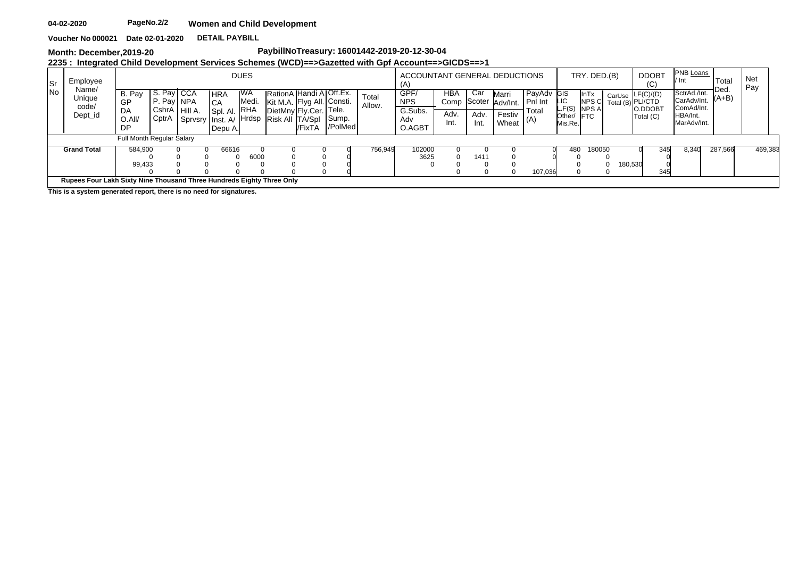**DETAIL PAYBILL Voucher No 000021 Date 02-01-2020**

**Month: December,2019-20**

# **PaybillNoTreasury: 16001442-2019-20-12-30-04**

**2235 : Integrated Child Development Services Schemes (WCD)==>Gazetted with Gpf Account==>GICDS==>1**

| Sr         | <b>DUES</b><br>Employee<br>Name/<br>RationA Handi A Off.Ex.<br>IWA<br>CCA<br>Pay,<br>B. Pay<br>S.<br><b>HRA</b><br>Unique<br>Medi.<br>I P. Pay NPA<br>Kit M.A. Flyg All. Consti.<br>GP<br>ICA<br>code/<br><b>RHA</b><br>  CshrA Hill A.<br>DietMny Fly.Cer. Tele.<br>DA<br>Spl. Al.<br>Dept_id<br>CptrA<br><b>H</b> rdsp<br>Risk All TA/Spl<br>Sump.<br>Sprvsry Inst. A/<br>0.All/ |  |       |      |  |  |  |         |                |                 | ACCOUNTANT GENERAL DEDUCTIONS<br>(A |                    |               |                   |                       |                   | TRY. DED.(B)         |        | <b>DDOBT</b><br>ا با          | PNB Loans<br>l/ Int                       | Total           | <b>Net</b><br>Pay |  |
|------------|------------------------------------------------------------------------------------------------------------------------------------------------------------------------------------------------------------------------------------------------------------------------------------------------------------------------------------------------------------------------------------|--|-------|------|--|--|--|---------|----------------|-----------------|-------------------------------------|--------------------|---------------|-------------------|-----------------------|-------------------|----------------------|--------|-------------------------------|-------------------------------------------|-----------------|-------------------|--|
| <b>INo</b> |                                                                                                                                                                                                                                                                                                                                                                                    |  |       |      |  |  |  |         |                | Total<br>Allow. | GPF/<br><b>NPS</b>                  | <b>HBA</b><br>Comp | Cai<br>Scoter | Marri<br>Adv/Int. | PayAdv GIS<br>Pnl Int | LIC<br>$-F(S)$    | <b>InTx</b><br>NPS C | CarUse | F(C)/(D)<br>Total (B) PLI/CTD | SctrAd./Int.<br>CarAdv/Int.<br>ComAd/Int. | Ded.<br>$(A+B)$ |                   |  |
|            | l/FixTA<br>DP<br>Depu A.<br>Full Month Regular Salary                                                                                                                                                                                                                                                                                                                              |  |       |      |  |  |  |         | /PolMed        |                 | G.Subs.<br>Adv<br>O.AGBT            | Adv<br>Int.        | Adv.<br>Int.  | Festiv<br>Wheat   | Total<br>  (A)        | Other/<br>Mis.Re. | NPS A<br><b>IFTC</b> |        | O.DDOB1<br>Total (C)          | HBA/Int.<br>MarAdv/Int.                   |                 |                   |  |
|            |                                                                                                                                                                                                                                                                                                                                                                                    |  |       |      |  |  |  |         |                |                 |                                     |                    |               |                   |                       |                   |                      |        |                               |                                           |                 |                   |  |
|            | <b>Grand Total</b>                                                                                                                                                                                                                                                                                                                                                                 |  | 66616 | 6000 |  |  |  | 756,949 | 102000<br>3625 |                 | 141                                 |                    | 107,036       | 480               | 180050                |                   | 345<br>80,530<br>345 | 8.340  | 287,566                       | 469,383                                   |                 |                   |  |
|            | Rupees Four Lakh Sixty Nine Thousand Three Hundreds Eighty Three Only                                                                                                                                                                                                                                                                                                              |  |       |      |  |  |  |         |                |                 |                                     |                    |               |                   |                       |                   |                      |        |                               |                                           |                 |                   |  |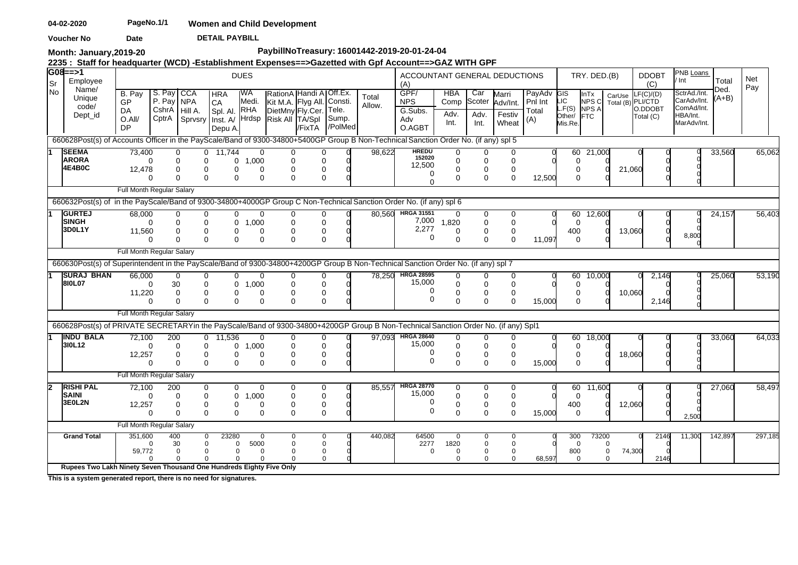**DETAIL PAYBILL Voucher No Date** 

**Month: January,2019-20**

# **PaybillNoTreasury: 16001442-2019-20-01-24-04**

**2235 : Staff for headquarter (WCD) -Establishment Expenses==>Gazetted with Gpf Account==>GAZ WITH GPF** 

| Sr   | $G08 == > 1$<br>Employee                                                                                                             |                                                     |                          |                                                                           |                                                                                | <b>DUES</b>                                     |                                                                                              |                                    |                           |                 | ACCOUNTANT GENERAL DEDUCTIONS<br>(A)           |                                              |                                             |                                             |                                   |                                           | TRY. DED.(B)                                         |                                     | <b>DDOBT</b><br>(C)                                    | PNB Loans<br>' Int                                                   | Total           | Net<br>Pay |
|------|--------------------------------------------------------------------------------------------------------------------------------------|-----------------------------------------------------|--------------------------|---------------------------------------------------------------------------|--------------------------------------------------------------------------------|-------------------------------------------------|----------------------------------------------------------------------------------------------|------------------------------------|---------------------------|-----------------|------------------------------------------------|----------------------------------------------|---------------------------------------------|---------------------------------------------|-----------------------------------|-------------------------------------------|------------------------------------------------------|-------------------------------------|--------------------------------------------------------|----------------------------------------------------------------------|-----------------|------------|
| l No | Name/<br>Unique<br>code/<br>Dept_id                                                                                                  | B. Pay<br><b>GP</b><br>DA<br>$O.$ All/<br><b>DP</b> | S. Pay CCA<br>P. Pay NPA | CshrA Hill A.                                                             | <b>HRA</b><br><b>CA</b><br>Spl. Al.<br>CptrA Sprvsry Inst. A/ Hrdsp<br>Depu A. | IWA<br>Medi.<br>RHA                             | RationA Handi ATOff.Ex.<br>Kit M.A. Flyg All. Consti.<br>DietMny Fly.Cer.<br>Risk All TA/Spl | /FixTA                             | Tele.<br>Sump.<br>/PolMed | Total<br>Allow. | GPF/<br><b>NPS</b><br>G.Subs.<br>Adv<br>O.AGBT | <b>HBA</b><br>Comp<br>Adv.<br>Int.           | Car<br>Scoter<br>Adv.<br>Int.               | Marri<br>Adv/Int.<br>Festiv<br>Wheat        | PayAdv<br>Pnl Int<br>Total<br>(A) | GIS<br>LIC<br>L.F(S)<br>Other/<br>Mis.Re. | <b>InTx</b><br>NPS C<br><b>NPS A</b><br><b>I</b> FTC | CarUse                              | LF(C)/(D)<br>Total (B) PLI/CTD<br>O.DDOBT<br>Total (C) | SctrAd./Int.<br>CarAdv/Int.<br>ComAd/Int.<br>HBA/Int.<br>MarAdv/Int. | Ded.<br>$(A+B)$ |            |
|      | 660628Post(s) of Accounts Officer in the PayScale/Band of 9300-34800+5400GP Group B Non-Technical Sanction Order No. (if any) spl 5  |                                                     |                          |                                                                           |                                                                                |                                                 |                                                                                              |                                    |                           |                 |                                                |                                              |                                             |                                             |                                   |                                           |                                                      |                                     |                                                        |                                                                      |                 |            |
|      | <b>SEEMA</b><br><b>ARORA</b><br>4E4B0C                                                                                               | 73,400<br>$\Omega$<br>12,478<br>$\Omega$            |                          | 0<br>0<br>0<br>0<br>$\Omega$<br>$\Omega$                                  | 11.744<br>$\Omega$<br>0<br>$\Omega$                                            | $\mathbf 0$<br>0, 1,000<br>$\Omega$<br>$\Omega$ | $\mathbf{0}$<br>0<br>$\Omega$<br>$\Omega$                                                    | 0<br>0<br>$\Omega$<br>$\Omega$     |                           | 98,622          | <b>HREDU</b><br>152020<br>12,500<br>0          | 0<br>$\mathbf 0$<br>$\mathbf{0}$<br>$\Omega$ | 0<br>$\mathbf 0$<br>$\Omega$<br>$\mathbf 0$ | 0<br>$\mathbf 0$<br>$\Omega$<br>$\mathbf 0$ | 12,500                            | $\mathbf 0$                               | 60 21,000<br>$\Omega$<br>$\Omega$                    | 21,060                              |                                                        |                                                                      | 33,560          | 65,062     |
|      |                                                                                                                                      | Full Month Regular Salary                           |                          |                                                                           |                                                                                |                                                 |                                                                                              |                                    |                           |                 | $\Omega$                                       |                                              |                                             |                                             |                                   |                                           |                                                      |                                     |                                                        |                                                                      |                 |            |
|      |                                                                                                                                      |                                                     |                          |                                                                           |                                                                                |                                                 |                                                                                              |                                    |                           |                 |                                                |                                              |                                             |                                             |                                   |                                           |                                                      |                                     |                                                        |                                                                      |                 |            |
|      | 660632Post(s) of in the PayScale/Band of 9300-34800+4000GP Group C Non-Technical Sanction Order No. (if any) spl 6<br><b>IGURTEJ</b> |                                                     |                          |                                                                           |                                                                                |                                                 |                                                                                              |                                    |                           |                 |                                                |                                              |                                             |                                             |                                   |                                           |                                                      |                                     |                                                        |                                                                      |                 |            |
|      | <b>SINGH</b><br>3D0L1Y                                                                                                               | 68,000<br>11,560<br>$\Omega$                        | $\Omega$                 | 0<br>0<br>0<br>$\Omega$<br>0<br>U<br>$\Omega$                             | 0<br>0<br>0<br>$\Omega$                                                        | 0<br>1,000<br>$\Omega$<br>$\Omega$              | 0<br>0<br>∩<br>$\Omega$                                                                      | 0<br>0<br>$\Omega$                 |                           |                 | 80,560 HRGA 31551<br>7,000<br>2,277<br>0       | $\Omega$<br>1,820<br>$\mathbf 0$<br>$\Omega$ | 0<br>0<br>$\mathbf 0$<br>$\Omega$           | 0<br>$\mathbf 0$<br>$\mathbf 0$<br>$\Omega$ | 11,097                            | 60<br>400<br>$\Omega$                     | 12,600<br>0                                          | 13,060                              |                                                        | 8,800                                                                | 24,157          | 56,403     |
|      |                                                                                                                                      | Full Month Regular Salary                           |                          |                                                                           |                                                                                |                                                 |                                                                                              |                                    |                           |                 |                                                |                                              |                                             |                                             |                                   |                                           |                                                      |                                     |                                                        |                                                                      |                 |            |
|      | 660630Post(s) of Superintendent in the PayScale/Band of 9300-34800+4200GP Group B Non-Technical Sanction Order No. (if any) spl 7    |                                                     |                          |                                                                           |                                                                                |                                                 |                                                                                              |                                    |                           |                 |                                                |                                              |                                             |                                             |                                   |                                           |                                                      |                                     |                                                        |                                                                      |                 |            |
|      | <b>SURAJ BHAN</b>                                                                                                                    | 66.000                                              |                          | $\Omega$<br>$\overline{0}$                                                | $\Omega$                                                                       | $\mathbf 0$                                     | $\mathbf 0$                                                                                  | 0                                  |                           | 78.250          | <b>HRGA 28595</b><br>15,000                    | 0                                            | $\Omega$                                    | $\mathbf 0$                                 |                                   | 60                                        | 10,000                                               |                                     | 2,146                                                  |                                                                      | 25,060          | 53,190     |
|      | 810L07                                                                                                                               | $\Omega$<br>11,220<br>$\Omega$                      | 30                       | $\Omega$<br>0<br>$\Omega$<br>$\Omega$                                     | 0<br>0<br>0                                                                    | 1,000<br>0<br>$\Omega$                          | $\Omega$<br>0<br>$\Omega$                                                                    | 0<br>0<br>$\Omega$                 |                           |                 | O                                              | $\Omega$<br>0<br>$\Omega$                    | 0<br>0<br>$\Omega$                          | $\Omega$<br>$\mathbf 0$<br>$\Omega$         | 15,000                            | $\Omega$                                  | 0<br>$\Omega$                                        | 10,060                              | 2,146                                                  |                                                                      |                 |            |
|      |                                                                                                                                      | Full Month Regular Salary                           |                          |                                                                           |                                                                                |                                                 |                                                                                              |                                    |                           |                 |                                                |                                              |                                             |                                             |                                   |                                           |                                                      |                                     |                                                        |                                                                      |                 |            |
|      | 660628Post(s) of PRIVATE SECRETARYin the PayScale/Band of 9300-34800+4200GP Group B Non-Technical Sanction Order No. (if any) Spl1   |                                                     |                          |                                                                           |                                                                                |                                                 |                                                                                              |                                    |                           |                 |                                                |                                              |                                             |                                             |                                   |                                           |                                                      |                                     |                                                        |                                                                      |                 |            |
|      | <b>IINDU BALA</b>                                                                                                                    | 72.100                                              | 200                      |                                                                           | $0$ 11,536                                                                     | $\overline{0}$                                  | $\Omega$                                                                                     | 0                                  |                           |                 | 97,093 HRGA 28640                              | $\Omega$                                     | $\Omega$                                    | 0                                           |                                   |                                           | 60 18,000                                            |                                     |                                                        |                                                                      | 33,060          | 64,033     |
|      | 310L12                                                                                                                               | 12,257                                              | $\Omega$<br>$\Omega$     | 0<br>$\Omega$<br>0<br>0<br>$\Omega$<br>$\Omega$                           | 0<br>0<br>$\Omega$                                                             | 1,000<br>0<br>$\Omega$                          | $\Omega$<br>0<br>$\Omega$                                                                    | $\mathbf 0$<br>0<br>$\Omega$       |                           |                 | 15,000<br>$\Omega$<br>∩                        | $\Omega$<br>0<br>$\Omega$                    | $\Omega$<br>0<br>$\Omega$                   | $\Omega$<br>0<br>$\Omega$                   | 15,000                            | $\Omega$                                  | 0<br>$\Omega$                                        | 18,060                              |                                                        |                                                                      |                 |            |
|      |                                                                                                                                      | Full Month Regular Salary                           |                          |                                                                           |                                                                                |                                                 |                                                                                              |                                    |                           |                 |                                                |                                              |                                             |                                             |                                   |                                           |                                                      |                                     |                                                        |                                                                      |                 |            |
| 12   | <b>RISHI PAL</b>                                                                                                                     | 72.100                                              | 200                      | 0                                                                         | 0                                                                              | $\Omega$                                        | O                                                                                            | 0                                  |                           | 85.557          | <b>HRGA 28770</b>                              | 0                                            | $\Omega$                                    | 0                                           |                                   | 60                                        | 11,600                                               |                                     |                                                        |                                                                      | 27,060          | 58,497     |
|      | <b>SAINI</b><br>3E0L2N                                                                                                               | 12,257                                              | $\Omega$                 | 0<br>$\Omega$<br>0                                                        | 0<br>0                                                                         | 1.000<br>0                                      | O<br>0                                                                                       | $\Omega$                           |                           |                 | 15,000<br>∩                                    | $\mathbf 0$<br>0                             | 0<br>$\Omega$                               | $\mathbf 0$<br>$\mathbf 0$                  |                                   | $\Omega$<br>400                           |                                                      | 12,060                              |                                                        |                                                                      |                 |            |
|      |                                                                                                                                      | $\Omega$                                            |                          | $\Omega$<br>$\Omega$                                                      | $\Omega$                                                                       | $\Omega$                                        | $\Omega$                                                                                     | $\Omega$                           |                           |                 | $\Omega$                                       | $\Omega$                                     | $\Omega$                                    | $\Omega$                                    | 15,000                            | $\mathbf 0$                               |                                                      |                                     |                                                        | 2.500                                                                |                 |            |
|      |                                                                                                                                      | Full Month Regular Salary                           |                          |                                                                           |                                                                                |                                                 |                                                                                              |                                    |                           |                 |                                                |                                              |                                             |                                             |                                   |                                           |                                                      |                                     |                                                        |                                                                      |                 |            |
|      | <b>Grand Total</b>                                                                                                                   | 351,600<br>59,772                                   | 400<br>∩                 | 0<br>30<br>$\mathbf 0$<br>$\mathbf 0$<br>$\Omega$<br>$\Omega$<br>$\Omega$ | 23280<br>$\Omega$<br>$\Omega$<br>$\Omega$                                      | $\Omega$<br>5000<br>$\Omega$<br>$\Omega$        | 0<br>$\Omega$<br>$\Omega$                                                                    | 0<br>$\mathbf{0}$<br>0<br>$\Omega$ |                           | 440,082         | 64500<br>2277<br>$\mathbf 0$                   | $\Omega$<br>1820<br>$\Omega$<br>$\Omega$     | 0<br>$\Omega$<br>$\mathbf 0$<br>$\Omega$    | O<br>$\Omega$<br>0<br>$\Omega$              | 68,597                            | 300<br>800                                | 73200<br>$\Omega$<br>$\mathbf 0$                     | $\Omega$<br>74,300<br>0<br>$\Omega$ | 2146<br>2146                                           | 11,300                                                               | 142,897         | 297,185    |
|      | Rupees Two Lakh Ninety Seven Thousand One Hundreds Eighty Five Only                                                                  |                                                     |                          |                                                                           |                                                                                |                                                 |                                                                                              |                                    |                           |                 |                                                |                                              |                                             |                                             |                                   |                                           |                                                      |                                     |                                                        |                                                                      |                 |            |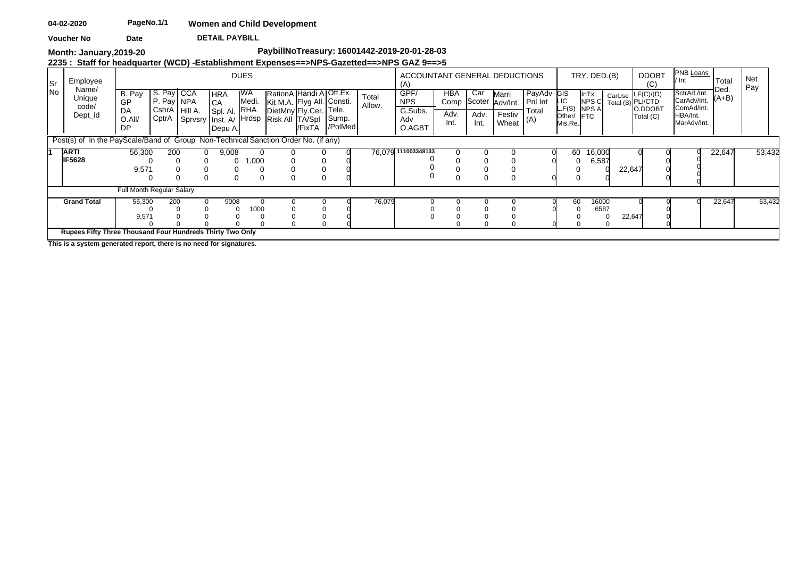**DETAIL PAYBILL Voucher No Date** 

**Month: January,2019-20**

# **PaybillNoTreasury: 16001442-2019-20-01-28-03**

**2235 : Staff for headquarter (WCD) -Establishment Expenses==>NPS-Gazetted==>NPS GAZ 9==>5**

| Sr |    | Employee                                                                           |                                    |                          |                 |                                                                                | <b>DUES</b>        |                                                                                                    |        |                  |                 | ACCOUNTANT GENERAL DEDUCTIONS<br>(A)           |                     |                                    |                                      |                                       |                                    | TRY. DED.(B)                                 |        | <b>DDOBT</b><br>(C)                                           | PNB Loans<br>′ Int                                                   | Total           | Net<br>Pay |  |
|----|----|------------------------------------------------------------------------------------|------------------------------------|--------------------------|-----------------|--------------------------------------------------------------------------------|--------------------|----------------------------------------------------------------------------------------------------|--------|------------------|-----------------|------------------------------------------------|---------------------|------------------------------------|--------------------------------------|---------------------------------------|------------------------------------|----------------------------------------------|--------|---------------------------------------------------------------|----------------------------------------------------------------------|-----------------|------------|--|
|    | No | Name/<br>Unique<br>code/<br>Dept_id                                                | B. Pay<br>GP<br>DA<br>O.All/<br>DP | S. Pay CCA<br>P. Pay NPA | CshrA   Hill A. | <b>HRA</b><br><b>CA</b><br>Spl. Al.<br>CptrA Sprvsry Inst. A/ Hrdsp<br>Depu A. | WA<br>Medi.<br>RHA | RationA Handi A Off.Ex.<br>Kit M.A. Flyg All. Consti.<br>DietMny Fly.Cer. Tele.<br>Risk All TA/Spl | /FixTA | Sump.<br>/PolMed | Total<br>Allow. | GPF/<br><b>NPS</b><br>G.Subs.<br>Adv<br>O.AGBT | HBA<br>Adv.<br>Int. | Car<br>Comp Scoter<br>Adv.<br>Int. | Marri<br>Adv/Int.<br>Festiv<br>Wheat | PayAdv GIS<br>Pnl Int<br>Total<br>(A) | LIC<br>L.F(S)<br>Other/<br>Mis.Re. | <b>InTx</b><br>NPS C<br>NPS A<br><b>IFTC</b> |        | CarUse LF(C)/(D)<br>Total (B) PLI/CTD<br>O.DDOBT<br>Total (C) | SctrAd./Int.<br>CarAdv/Int.<br>ComAd/Int.<br>HBA/Int.<br>MarAdv/Int. | Ded.<br>$(A+B)$ |            |  |
|    |    | Post(s) of in the PayScale/Band of Group Non-Technical Sanction Order No. (if any) |                                    |                          |                 |                                                                                |                    |                                                                                                    |        |                  |                 |                                                |                     |                                    |                                      |                                       |                                    |                                              |        |                                                               |                                                                      |                 |            |  |
|    |    | <b>ARTI</b><br><b>IIF5628</b>                                                      | 56,300                             | 200                      |                 | 9,008<br>$\Omega$<br>0                                                         | 1,000              |                                                                                                    |        |                  |                 | 76,079 111003348133                            |                     |                                    |                                      |                                       | 60                                 | 16,000<br>6,587                              |        |                                                               |                                                                      | 22,647          | 53,432     |  |
|    |    |                                                                                    | 9,571                              |                          |                 |                                                                                |                    |                                                                                                    |        |                  |                 |                                                |                     |                                    |                                      |                                       |                                    |                                              | 22,647 |                                                               |                                                                      |                 |            |  |
|    |    |                                                                                    | <b>Full Month Regular Salary</b>   |                          |                 |                                                                                |                    |                                                                                                    |        |                  |                 |                                                |                     |                                    |                                      |                                       |                                    |                                              |        |                                                               |                                                                      |                 |            |  |
|    |    | <b>Grand Total</b>                                                                 | 56,300<br>9,571                    | 200                      |                 | 9008                                                                           | 1000               |                                                                                                    |        |                  | 76,079          |                                                |                     |                                    |                                      |                                       | 60                                 | 16000<br>6587                                | 22,647 |                                                               |                                                                      | 22,647          | 53,432     |  |
|    |    | Rupees Fifty Three Thousand Four Hundreds Thirty Two Only                          |                                    |                          |                 |                                                                                |                    |                                                                                                    |        |                  |                 |                                                |                     |                                    |                                      |                                       |                                    |                                              |        |                                                               |                                                                      |                 |            |  |